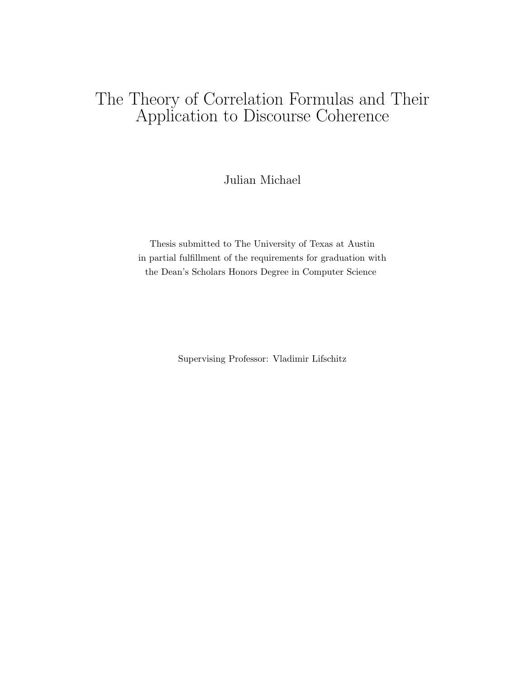## The Theory of Correlation Formulas and Their Application to Discourse Coherence

Julian Michael

Thesis submitted to The University of Texas at Austin in partial fulfillment of the requirements for graduation with the Dean's Scholars Honors Degree in Computer Science

Supervising Professor: Vladimir Lifschitz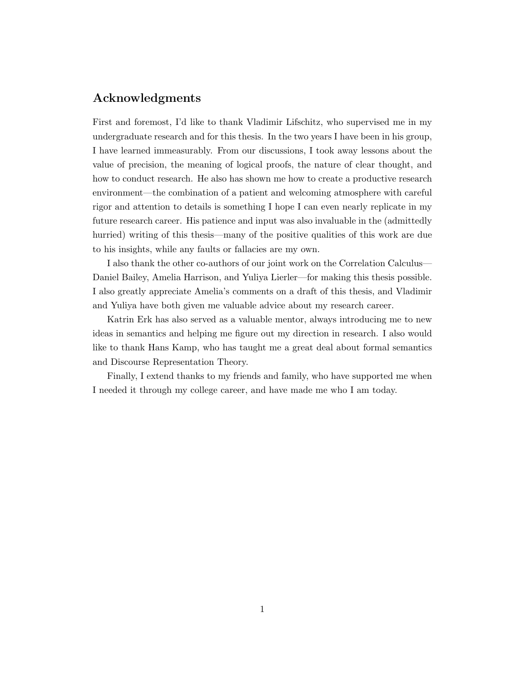## Acknowledgments

First and foremost, I'd like to thank Vladimir Lifschitz, who supervised me in my undergraduate research and for this thesis. In the two years I have been in his group, I have learned immeasurably. From our discussions, I took away lessons about the value of precision, the meaning of logical proofs, the nature of clear thought, and how to conduct research. He also has shown me how to create a productive research environment—the combination of a patient and welcoming atmosphere with careful rigor and attention to details is something I hope I can even nearly replicate in my future research career. His patience and input was also invaluable in the (admittedly hurried) writing of this thesis—many of the positive qualities of this work are due to his insights, while any faults or fallacies are my own.

I also thank the other co-authors of our joint work on the Correlation Calculus— Daniel Bailey, Amelia Harrison, and Yuliya Lierler—for making this thesis possible. I also greatly appreciate Amelia's comments on a draft of this thesis, and Vladimir and Yuliya have both given me valuable advice about my research career.

Katrin Erk has also served as a valuable mentor, always introducing me to new ideas in semantics and helping me figure out my direction in research. I also would like to thank Hans Kamp, who has taught me a great deal about formal semantics and Discourse Representation Theory.

Finally, I extend thanks to my friends and family, who have supported me when I needed it through my college career, and have made me who I am today.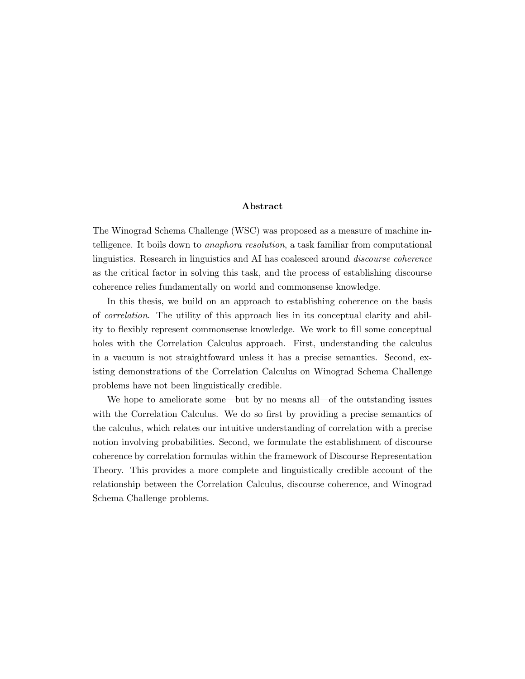#### Abstract

The Winograd Schema Challenge (WSC) was proposed as a measure of machine intelligence. It boils down to anaphora resolution, a task familiar from computational linguistics. Research in linguistics and AI has coalesced around discourse coherence as the critical factor in solving this task, and the process of establishing discourse coherence relies fundamentally on world and commonsense knowledge.

In this thesis, we build on an approach to establishing coherence on the basis of correlation. The utility of this approach lies in its conceptual clarity and ability to flexibly represent commonsense knowledge. We work to fill some conceptual holes with the Correlation Calculus approach. First, understanding the calculus in a vacuum is not straightfoward unless it has a precise semantics. Second, existing demonstrations of the Correlation Calculus on Winograd Schema Challenge problems have not been linguistically credible.

We hope to ameliorate some—but by no means all—of the outstanding issues with the Correlation Calculus. We do so first by providing a precise semantics of the calculus, which relates our intuitive understanding of correlation with a precise notion involving probabilities. Second, we formulate the establishment of discourse coherence by correlation formulas within the framework of Discourse Representation Theory. This provides a more complete and linguistically credible account of the relationship between the Correlation Calculus, discourse coherence, and Winograd Schema Challenge problems.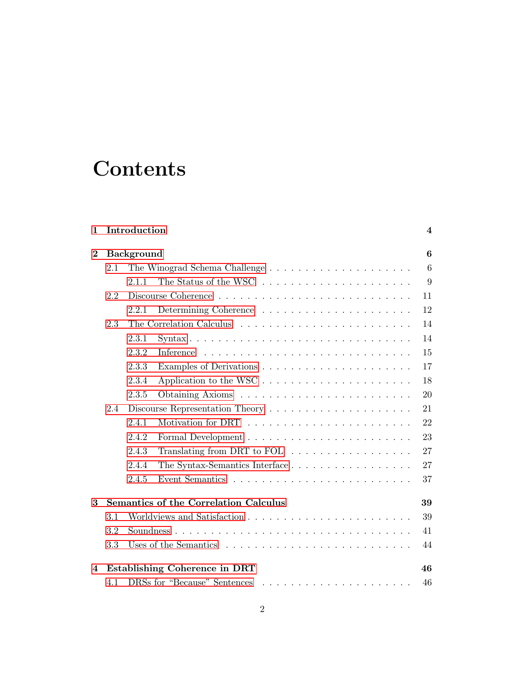# **Contents**

| 1        |     | Introduction      |                                                                                | $\overline{4}$ |
|----------|-----|-------------------|--------------------------------------------------------------------------------|----------------|
| $\bf{2}$ |     | <b>Background</b> |                                                                                | 6              |
|          | 2.1 |                   |                                                                                | 6              |
|          |     | 2.1.1             | The Status of the WSC $\ldots \ldots \ldots \ldots \ldots \ldots \ldots$       | 9              |
|          | 2.2 |                   |                                                                                | 11             |
|          |     | 2.2.1             |                                                                                | 12             |
|          | 2.3 |                   |                                                                                | 14             |
|          |     | 2.3.1             | $Syntax \ldots \ldots \ldots \ldots \ldots \ldots \ldots \ldots \ldots \ldots$ | 14             |
|          |     | 2.3.2             | Inference                                                                      | 15             |
|          |     | 2.3.3             |                                                                                | 17             |
|          |     | 2.3.4             |                                                                                | 18             |
|          |     | 2.3.5             |                                                                                | 20             |
|          | 2.4 |                   |                                                                                | 21             |
|          |     | 2.4.1             |                                                                                | 22             |
|          |     | 2.4.2             |                                                                                | 23             |
|          |     | 2.4.3             | Translating from DRT to FOL $\dots \dots \dots \dots \dots \dots$              | 27             |
|          |     | 2.4.4             | The Syntax-Semantics Interface                                                 | 27             |
|          |     | 2.4.5             |                                                                                | 37             |
| 3        |     |                   | <b>Semantics of the Correlation Calculus</b>                                   | 39             |
|          | 3.1 |                   |                                                                                | 39             |
|          | 3.2 |                   |                                                                                | 41             |
|          | 3.3 |                   |                                                                                | 44             |
| 4        |     |                   | Establishing Coherence in DRT                                                  | 46             |
|          | 4.1 |                   | DRSs for "Because" Sentences                                                   | 46             |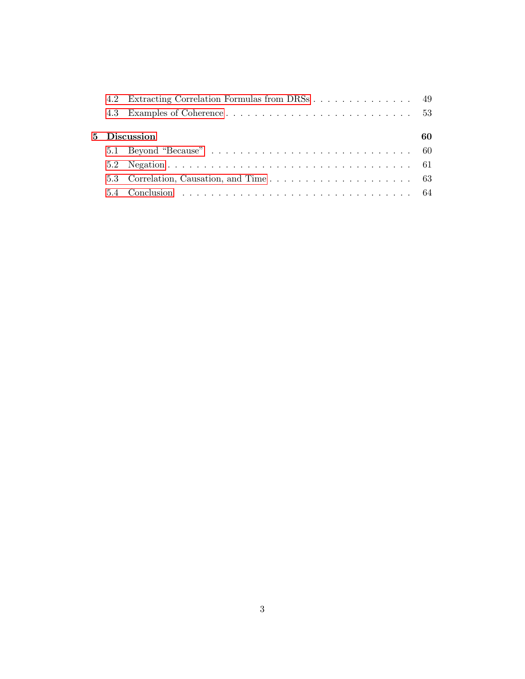|  | 4.2 Extracting Correlation Formulas from DRSs 49 |    |
|--|--------------------------------------------------|----|
|  |                                                  |    |
|  | 5 Discussion                                     | 60 |
|  |                                                  |    |
|  |                                                  |    |
|  |                                                  |    |
|  |                                                  |    |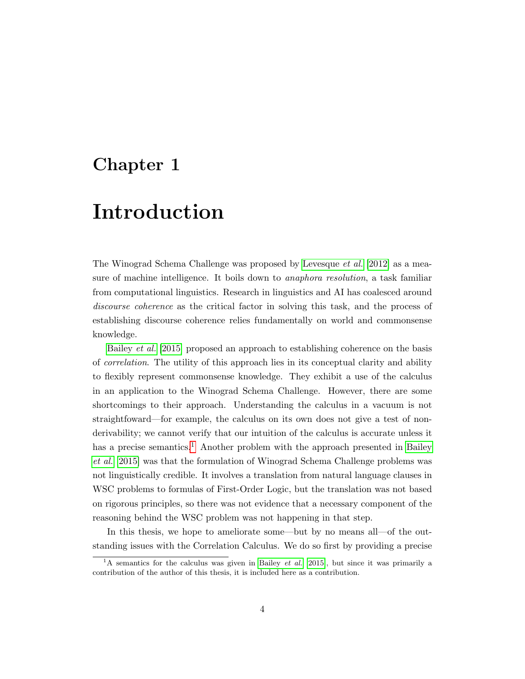## <span id="page-5-0"></span>Chapter 1

# Introduction

The Winograd Schema Challenge was proposed by [Levesque](#page-69-0) et al. [\[2012\]](#page-69-0) as a measure of machine intelligence. It boils down to anaphora resolution, a task familiar from computational linguistics. Research in linguistics and AI has coalesced around discourse coherence as the critical factor in solving this task, and the process of establishing discourse coherence relies fundamentally on world and commonsense knowledge.

[Bailey](#page-67-0) et al. [\[2015\]](#page-67-0) proposed an approach to establishing coherence on the basis of correlation. The utility of this approach lies in its conceptual clarity and ability to flexibly represent commonsense knowledge. They exhibit a use of the calculus in an application to the Winograd Schema Challenge. However, there are some shortcomings to their approach. Understanding the calculus in a vacuum is not straightfoward—for example, the calculus on its own does not give a test of nonderivability; we cannot verify that our intuition of the calculus is accurate unless it has a precise semantics.<sup>[1](#page-5-1)</sup> Another problem with the approach presented in [Bailey](#page-67-0) [et al.](#page-67-0) [\[2015\]](#page-67-0) was that the formulation of Winograd Schema Challenge problems was not linguistically credible. It involves a translation from natural language clauses in WSC problems to formulas of First-Order Logic, but the translation was not based on rigorous principles, so there was not evidence that a necessary component of the reasoning behind the WSC problem was not happening in that step.

In this thesis, we hope to ameliorate some—but by no means all—of the outstanding issues with the Correlation Calculus. We do so first by providing a precise

<span id="page-5-1"></span><sup>&</sup>lt;sup>1</sup>A semantics for the calculus was given in [Bailey](#page-67-0) *et al.* [\[2015\]](#page-67-0), but since it was primarily a contribution of the author of this thesis, it is included here as a contribution.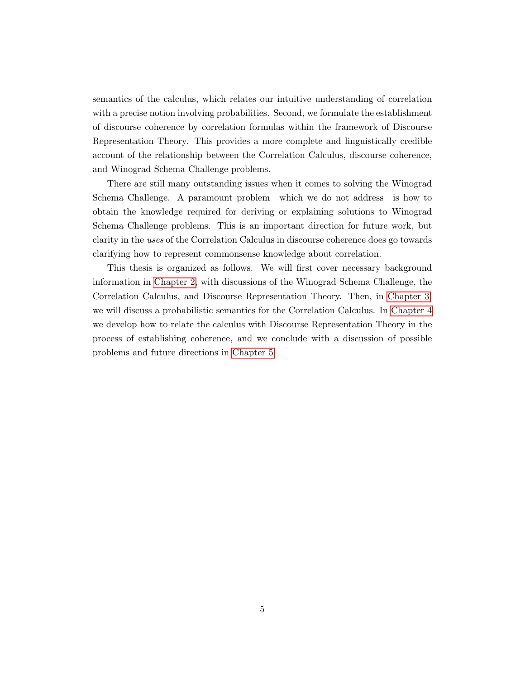semantics of the calculus, which relates our intuitive understanding of correlation with a precise notion involving probabilities. Second, we formulate the establishment of discourse coherence by correlation formulas within the framework of Discourse Representation Theory. This provides a more complete and linguistically credible account of the relationship between the Correlation Calculus, discourse coherence, and Winograd Schema Challenge problems.

There are still many outstanding issues when it comes to solving the Winograd Schema Challenge. A paramount problem—which we do not address—is how to obtain the knowledge required for deriving or explaining solutions to Winograd Schema Challenge problems. This is an important direction for future work, but clarity in the uses of the Correlation Calculus in discourse coherence does go towards clarifying how to represent commonsense knowledge about correlation.

This thesis is organized as follows. We will first cover necessary background information in [Chapter 2,](#page-7-0) with discussions of the Winograd Schema Challenge, the Correlation Calculus, and Discourse Representation Theory. Then, in [Chapter 3,](#page-40-0) we will discuss a probabilistic semantics for the Correlation Calculus. In [Chapter 4](#page-47-0) we develop how to relate the calculus with Discourse Representation Theory in the process of establishing coherence, and we conclude with a discussion of possible problems and future directions in [Chapter 5.](#page-61-0)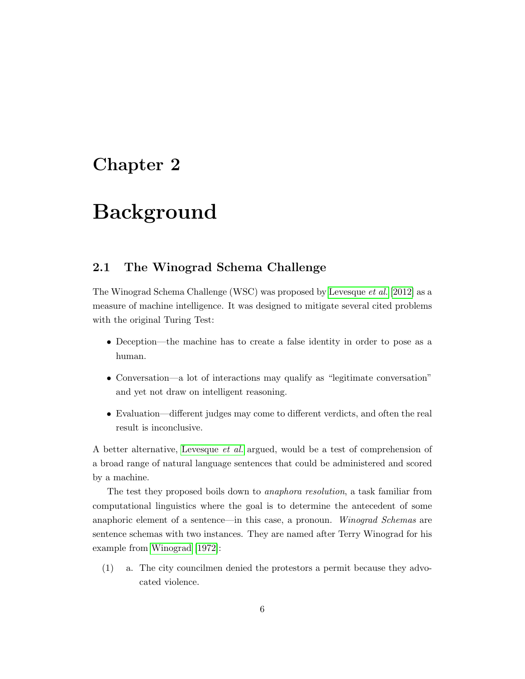## <span id="page-7-0"></span>Chapter 2

# Background

## <span id="page-7-1"></span>2.1 The Winograd Schema Challenge

The Winograd Schema Challenge (WSC) was proposed by [Levesque](#page-69-0) et al. [\[2012\]](#page-69-0) as a measure of machine intelligence. It was designed to mitigate several cited problems with the original Turing Test:

- Deception—the machine has to create a false identity in order to pose as a human.
- Conversation—a lot of interactions may qualify as "legitimate conversation" and yet not draw on intelligent reasoning.
- Evaluation—different judges may come to different verdicts, and often the real result is inconclusive.

A better alternative, [Levesque](#page-69-0) et al. argued, would be a test of comprehension of a broad range of natural language sentences that could be administered and scored by a machine.

The test they proposed boils down to anaphora resolution, a task familiar from computational linguistics where the goal is to determine the antecedent of some anaphoric element of a sentence—in this case, a pronoun. Winograd Schemas are sentence schemas with two instances. They are named after Terry Winograd for his example from [Winograd \[1972\]](#page-69-1):

<span id="page-7-2"></span>(1) a. The city councilmen denied the protestors a permit because they advocated violence.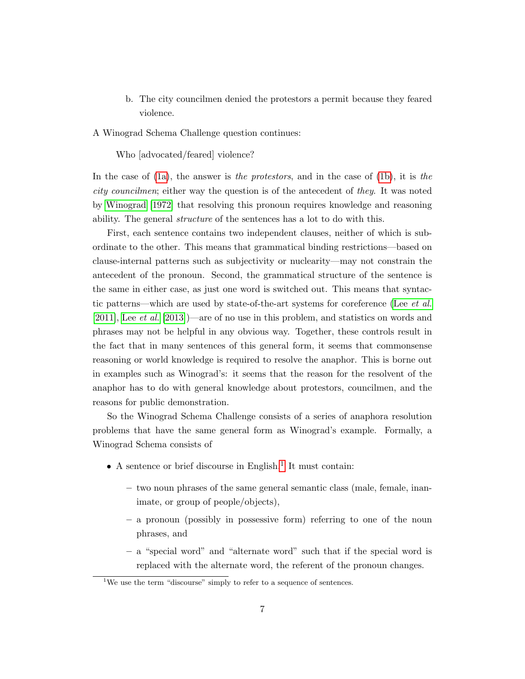<span id="page-8-0"></span>b. The city councilmen denied the protestors a permit because they feared violence.

A Winograd Schema Challenge question continues:

Who [advocated/feared] violence?

In the case of  $(1a)$ , the answer is the protestors, and in the case of  $(1b)$ , it is the city councilmen; either way the question is of the antecedent of they. It was noted by [Winograd \[1972\]](#page-69-1) that resolving this pronoun requires knowledge and reasoning ability. The general structure of the sentences has a lot to do with this.

First, each sentence contains two independent clauses, neither of which is subordinate to the other. This means that grammatical binding restrictions—based on clause-internal patterns such as subjectivity or nuclearity—may not constrain the antecedent of the pronoun. Second, the grammatical structure of the sentence is the same in either case, as just one word is switched out. This means that syntactic patterns—which are used by state-of-the-art systems for coreference (Lee [et al.](#page-68-0) [\[2011\]](#page-68-0), Lee [et al.](#page-69-2) [\[2013\]](#page-69-2))—are of no use in this problem, and statistics on words and phrases may not be helpful in any obvious way. Together, these controls result in the fact that in many sentences of this general form, it seems that commonsense reasoning or world knowledge is required to resolve the anaphor. This is borne out in examples such as Winograd's: it seems that the reason for the resolvent of the anaphor has to do with general knowledge about protestors, councilmen, and the reasons for public demonstration.

So the Winograd Schema Challenge consists of a series of anaphora resolution problems that have the same general form as Winograd's example. Formally, a Winograd Schema consists of

- $\bullet$  A sentence or brief discourse in English.<sup>[1](#page-8-1)</sup> It must contain:
	- two noun phrases of the same general semantic class (male, female, inanimate, or group of people/objects),
	- a pronoun (possibly in possessive form) referring to one of the noun phrases, and
	- a "special word" and "alternate word" such that if the special word is replaced with the alternate word, the referent of the pronoun changes.

<span id="page-8-1"></span><sup>&</sup>lt;sup>1</sup>We use the term "discourse" simply to refer to a sequence of sentences.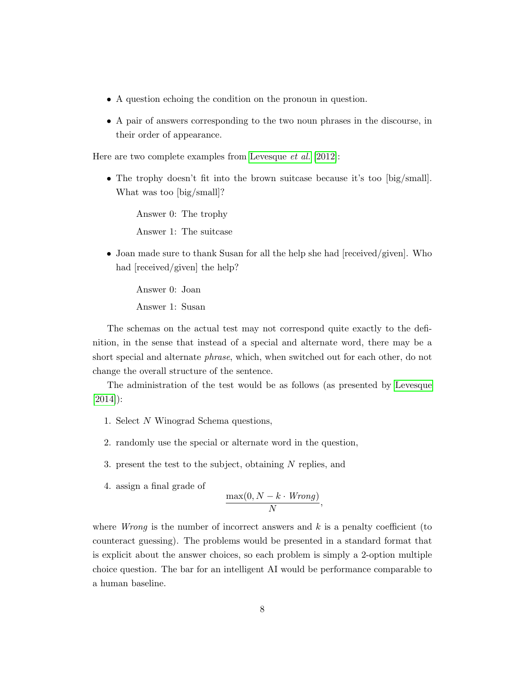- A question echoing the condition on the pronoun in question.
- A pair of answers corresponding to the two noun phrases in the discourse, in their order of appearance.

Here are two complete examples from [Levesque](#page-69-0) et al. [\[2012\]](#page-69-0):

• The trophy doesn't fit into the brown suitcase because it's too [big/small]. What was too [big/small]?

Answer 0: The trophy Answer 1: The suitcase

• Joan made sure to thank Susan for all the help she had [received/given]. Who had [received/given] the help?

Answer 0: Joan Answer 1: Susan

The schemas on the actual test may not correspond quite exactly to the definition, in the sense that instead of a special and alternate word, there may be a short special and alternate phrase, which, when switched out for each other, do not change the overall structure of the sentence.

The administration of the test would be as follows (as presented by [Levesque](#page-69-3) [\[2014\]](#page-69-3)):

- 1. Select N Winograd Schema questions,
- 2. randomly use the special or alternate word in the question,
- 3. present the test to the subject, obtaining N replies, and
- 4. assign a final grade of

$$
\frac{\max(0, N - k \cdot Wrong)}{N},
$$

where *Wrong* is the number of incorrect answers and  $k$  is a penalty coefficient (to counteract guessing). The problems would be presented in a standard format that is explicit about the answer choices, so each problem is simply a 2-option multiple choice question. The bar for an intelligent AI would be performance comparable to a human baseline.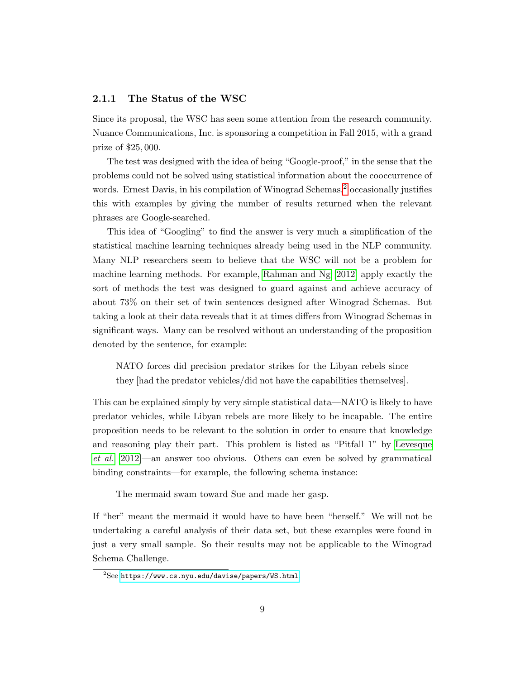#### <span id="page-10-0"></span>2.1.1 The Status of the WSC

Since its proposal, the WSC has seen some attention from the research community. Nuance Communications, Inc. is sponsoring a competition in Fall 2015, with a grand prize of \$25, 000.

The test was designed with the idea of being "Google-proof," in the sense that the problems could not be solved using statistical information about the cooccurrence of words. Ernest Davis, in his compilation of Winograd Schemas, $\frac{2}{3}$  $\frac{2}{3}$  $\frac{2}{3}$  occasionally justifies this with examples by giving the number of results returned when the relevant phrases are Google-searched.

This idea of "Googling" to find the answer is very much a simplification of the statistical machine learning techniques already being used in the NLP community. Many NLP researchers seem to believe that the WSC will not be a problem for machine learning methods. For example, [Rahman and Ng \[2012\]](#page-69-4) apply exactly the sort of methods the test was designed to guard against and achieve accuracy of about 73% on their set of twin sentences designed after Winograd Schemas. But taking a look at their data reveals that it at times differs from Winograd Schemas in significant ways. Many can be resolved without an understanding of the proposition denoted by the sentence, for example:

NATO forces did precision predator strikes for the Libyan rebels since they [had the predator vehicles/did not have the capabilities themselves].

This can be explained simply by very simple statistical data—NATO is likely to have predator vehicles, while Libyan rebels are more likely to be incapable. The entire proposition needs to be relevant to the solution in order to ensure that knowledge and reasoning play their part. This problem is listed as "Pitfall 1" by [Levesque](#page-69-0) [et al.](#page-69-0) [\[2012\]](#page-69-0)—an answer too obvious. Others can even be solved by grammatical binding constraints—for example, the following schema instance:

The mermaid swam toward Sue and made her gasp.

If "her" meant the mermaid it would have to have been "herself." We will not be undertaking a careful analysis of their data set, but these examples were found in just a very small sample. So their results may not be applicable to the Winograd Schema Challenge.

<span id="page-10-1"></span> $2$ See <https://www.cs.nyu.edu/davise/papers/WS.html>.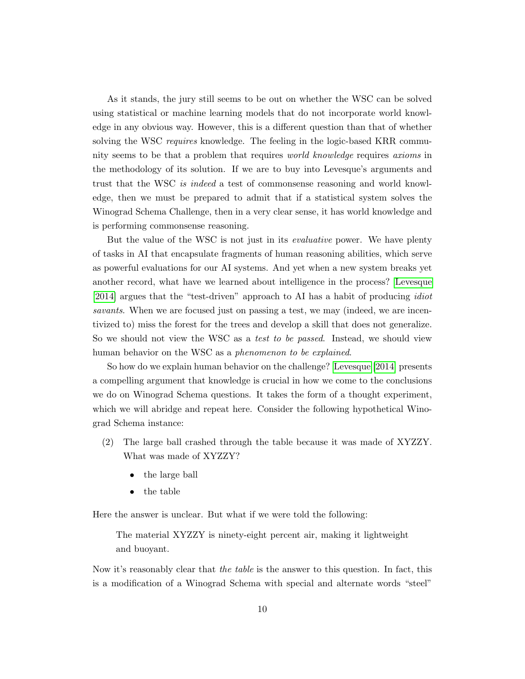As it stands, the jury still seems to be out on whether the WSC can be solved using statistical or machine learning models that do not incorporate world knowledge in any obvious way. However, this is a different question than that of whether solving the WSC requires knowledge. The feeling in the logic-based KRR community seems to be that a problem that requires world knowledge requires axioms in the methodology of its solution. If we are to buy into Levesque's arguments and trust that the WSC is indeed a test of commonsense reasoning and world knowledge, then we must be prepared to admit that if a statistical system solves the Winograd Schema Challenge, then in a very clear sense, it has world knowledge and is performing commonsense reasoning.

But the value of the WSC is not just in its *evaluative* power. We have plenty of tasks in AI that encapsulate fragments of human reasoning abilities, which serve as powerful evaluations for our AI systems. And yet when a new system breaks yet another record, what have we learned about intelligence in the process? [Levesque](#page-69-3) [\[2014\]](#page-69-3) argues that the "test-driven" approach to AI has a habit of producing idiot savants. When we are focused just on passing a test, we may (indeed, we are incentivized to) miss the forest for the trees and develop a skill that does not generalize. So we should not view the WSC as a *test to be passed*. Instead, we should view human behavior on the WSC as a *phenomenon to be explained*.

So how do we explain human behavior on the challenge? [Levesque \[2014\]](#page-69-3) presents a compelling argument that knowledge is crucial in how we come to the conclusions we do on Winograd Schema questions. It takes the form of a thought experiment, which we will abridge and repeat here. Consider the following hypothetical Winograd Schema instance:

- (2) The large ball crashed through the table because it was made of XYZZY. What was made of XYZZY?
	- the large ball
	- the table

Here the answer is unclear. But what if we were told the following:

The material XYZZY is ninety-eight percent air, making it lightweight and buoyant.

Now it's reasonably clear that the table is the answer to this question. In fact, this is a modification of a Winograd Schema with special and alternate words "steel"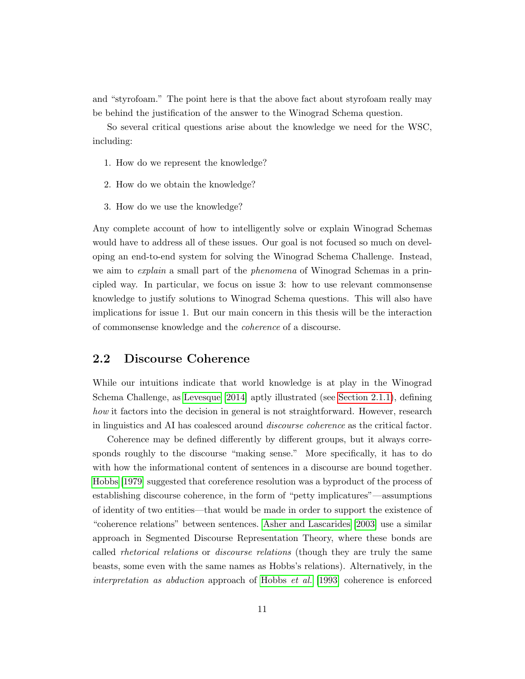and "styrofoam." The point here is that the above fact about styrofoam really may be behind the justification of the answer to the Winograd Schema question.

So several critical questions arise about the knowledge we need for the WSC, including:

- 1. How do we represent the knowledge?
- 2. How do we obtain the knowledge?
- 3. How do we use the knowledge?

Any complete account of how to intelligently solve or explain Winograd Schemas would have to address all of these issues. Our goal is not focused so much on developing an end-to-end system for solving the Winograd Schema Challenge. Instead, we aim to *explain* a small part of the *phenomena* of Winograd Schemas in a principled way. In particular, we focus on issue 3: how to use relevant commonsense knowledge to justify solutions to Winograd Schema questions. This will also have implications for issue 1. But our main concern in this thesis will be the interaction of commonsense knowledge and the coherence of a discourse.

### <span id="page-12-0"></span>2.2 Discourse Coherence

While our intuitions indicate that world knowledge is at play in the Winograd Schema Challenge, as [Levesque \[2014\]](#page-69-3) aptly illustrated (see [Section 2.1.1\)](#page-10-0), defining how it factors into the decision in general is not straightforward. However, research in linguistics and AI has coalesced around discourse coherence as the critical factor.

Coherence may be defined differently by different groups, but it always corresponds roughly to the discourse "making sense." More specifically, it has to do with how the informational content of sentences in a discourse are bound together. [Hobbs \[1979\]](#page-68-1) suggested that coreference resolution was a byproduct of the process of establishing discourse coherence, in the form of "petty implicatures"—assumptions of identity of two entities—that would be made in order to support the existence of "coherence relations" between sentences. [Asher and Lascarides \[2003\]](#page-67-1) use a similar approach in Segmented Discourse Representation Theory, where these bonds are called *rhetorical relations* or *discourse relations* (though they are truly the same beasts, some even with the same names as Hobbs's relations). Alternatively, in the interpretation as abduction approach of [Hobbs](#page-68-2) et al. [\[1993\]](#page-68-2) coherence is enforced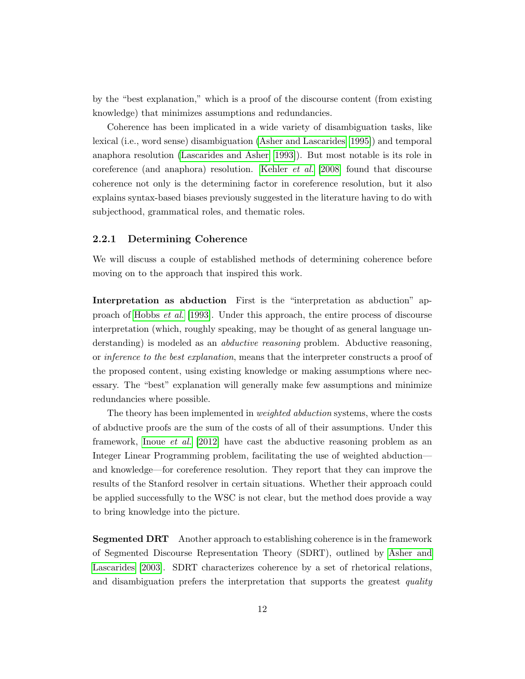by the "best explanation," which is a proof of the discourse content (from existing knowledge) that minimizes assumptions and redundancies.

Coherence has been implicated in a wide variety of disambiguation tasks, like lexical (i.e., word sense) disambiguation [\(Asher and Lascarides \[1995\]](#page-67-2)) and temporal anaphora resolution [\(Lascarides and Asher \[1993\]](#page-68-3)). But most notable is its role in coreference (and anaphora) resolution. [Kehler](#page-68-4) *et al.* [\[2008\]](#page-68-4) found that discourse coherence not only is the determining factor in coreference resolution, but it also explains syntax-based biases previously suggested in the literature having to do with subjecthood, grammatical roles, and thematic roles.

#### <span id="page-13-0"></span>2.2.1 Determining Coherence

We will discuss a couple of established methods of determining coherence before moving on to the approach that inspired this work.

Interpretation as abduction First is the "interpretation as abduction" approach of [Hobbs](#page-68-2) et al. [\[1993\]](#page-68-2). Under this approach, the entire process of discourse interpretation (which, roughly speaking, may be thought of as general language understanding) is modeled as an *abductive reasoning* problem. Abductive reasoning, or inference to the best explanation, means that the interpreter constructs a proof of the proposed content, using existing knowledge or making assumptions where necessary. The "best" explanation will generally make few assumptions and minimize redundancies where possible.

The theory has been implemented in weighted abduction systems, where the costs of abductive proofs are the sum of the costs of all of their assumptions. Under this framework, [Inoue](#page-68-5) et al. [\[2012\]](#page-68-5) have cast the abductive reasoning problem as an Integer Linear Programming problem, facilitating the use of weighted abduction and knowledge—for coreference resolution. They report that they can improve the results of the Stanford resolver in certain situations. Whether their approach could be applied successfully to the WSC is not clear, but the method does provide a way to bring knowledge into the picture.

Segmented DRT Another approach to establishing coherence is in the framework of Segmented Discourse Representation Theory (SDRT), outlined by [Asher and](#page-67-1) [Lascarides \[2003\]](#page-67-1). SDRT characterizes coherence by a set of rhetorical relations, and disambiguation prefers the interpretation that supports the greatest quality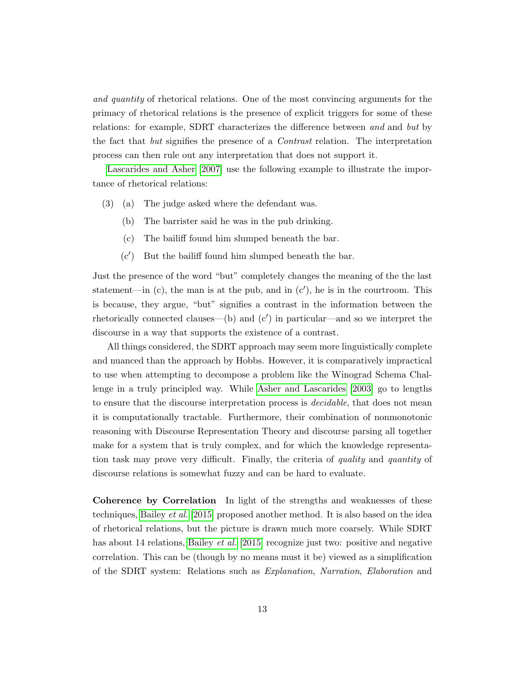and quantity of rhetorical relations. One of the most convincing arguments for the primacy of rhetorical relations is the presence of explicit triggers for some of these relations: for example, SDRT characterizes the difference between and and but by the fact that but signifies the presence of a Contrast relation. The interpretation process can then rule out any interpretation that does not support it.

[Lascarides and Asher \[2007\]](#page-68-6) use the following example to illustrate the importance of rhetorical relations:

- (3) (a) The judge asked where the defendant was.
	- (b) The barrister said he was in the pub drinking.
	- (c) The bailiff found him slumped beneath the bar.
	- $(c')$  But the bailiff found him slumped beneath the bar.

Just the presence of the word "but" completely changes the meaning of the the last statement—in  $(c)$ , the man is at the pub, and in  $(c')$ , he is in the courtroom. This is because, they argue, "but" signifies a contrast in the information between the rhetorically connected clauses—(b) and  $(c')$  in particular—and so we interpret the discourse in a way that supports the existence of a contrast.

All things considered, the SDRT approach may seem more linguistically complete and nuanced than the approach by Hobbs. However, it is comparatively impractical to use when attempting to decompose a problem like the Winograd Schema Challenge in a truly principled way. While [Asher and Lascarides \[2003\]](#page-67-1) go to lengths to ensure that the discourse interpretation process is *decidable*, that does not mean it is computationally tractable. Furthermore, their combination of nonmonotonic reasoning with Discourse Representation Theory and discourse parsing all together make for a system that is truly complex, and for which the knowledge representation task may prove very difficult. Finally, the criteria of quality and quantity of discourse relations is somewhat fuzzy and can be hard to evaluate.

Coherence by Correlation In light of the strengths and weaknesses of these techniques, [Bailey](#page-67-0) et al. [\[2015\]](#page-67-0) proposed another method. It is also based on the idea of rhetorical relations, but the picture is drawn much more coarsely. While SDRT has about 14 relations, [Bailey](#page-67-0) *et al.* [\[2015\]](#page-67-0) recognize just two: positive and negative correlation. This can be (though by no means must it be) viewed as a simplification of the SDRT system: Relations such as Explanation, Narration, Elaboration and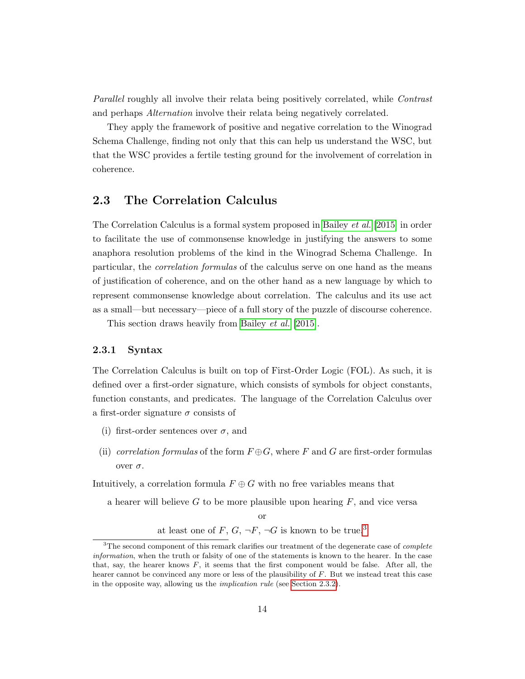Parallel roughly all involve their relata being positively correlated, while Contrast and perhaps Alternation involve their relata being negatively correlated.

They apply the framework of positive and negative correlation to the Winograd Schema Challenge, finding not only that this can help us understand the WSC, but that the WSC provides a fertile testing ground for the involvement of correlation in coherence.

### <span id="page-15-0"></span>2.3 The Correlation Calculus

The Correlation Calculus is a formal system proposed in [Bailey](#page-67-0) et al. [\[2015\]](#page-67-0) in order to facilitate the use of commonsense knowledge in justifying the answers to some anaphora resolution problems of the kind in the Winograd Schema Challenge. In particular, the correlation formulas of the calculus serve on one hand as the means of justification of coherence, and on the other hand as a new language by which to represent commonsense knowledge about correlation. The calculus and its use act as a small—but necessary—piece of a full story of the puzzle of discourse coherence.

This section draws heavily from [Bailey](#page-67-0) et al. [\[2015\]](#page-67-0).

#### <span id="page-15-1"></span>2.3.1 Syntax

The Correlation Calculus is built on top of First-Order Logic (FOL). As such, it is defined over a first-order signature, which consists of symbols for object constants, function constants, and predicates. The language of the Correlation Calculus over a first-order signature  $\sigma$  consists of

- (i) first-order sentences over  $\sigma$ , and
- (ii) correlation formulas of the form  $F \oplus G$ , where F and G are first-order formulas over  $\sigma$ .

Intuitively, a correlation formula  $F \oplus G$  with no free variables means that

a hearer will believe  $G$  to be more plausible upon hearing  $F$ , and vice versa

or

at least one of  $F, G, \neg F, \neg G$  is known to be true.<sup>[3](#page-15-2)</sup>

<span id="page-15-2"></span> $3$ The second component of this remark clarifies our treatment of the degenerate case of *complete* information, when the truth or falsity of one of the statements is known to the hearer. In the case that, say, the hearer knows  $F$ , it seems that the first component would be false. After all, the hearer cannot be convinced any more or less of the plausibility of F. But we instead treat this case in the opposite way, allowing us the implication rule (see [Section 2.3.2\)](#page-16-0).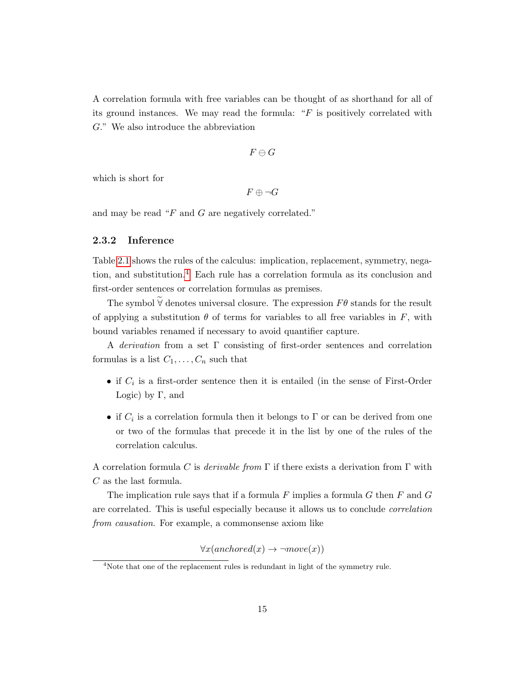A correlation formula with free variables can be thought of as shorthand for all of its ground instances. We may read the formula: " $F$  is positively correlated with G." We also introduce the abbreviation

$$
F\ominus G
$$

which is short for

 $F \oplus \neg G$ 

and may be read "F and G are negatively correlated."

#### <span id="page-16-0"></span>2.3.2 Inference

Table [2.1](#page-17-0) shows the rules of the calculus: implication, replacement, symmetry, negation, and substitution.[4](#page-16-1) Each rule has a correlation formula as its conclusion and first-order sentences or correlation formulas as premises.

The symbol  $\widetilde{\mathsf{V}}$  denotes universal closure. The expression  $F\theta$  stands for the result of applying a substitution  $\theta$  of terms for variables to all free variables in F, with bound variables renamed if necessary to avoid quantifier capture.

A derivation from a set Γ consisting of first-order sentences and correlation formulas is a list  $C_1, \ldots, C_n$  such that

- if  $C_i$  is a first-order sentence then it is entailed (in the sense of First-Order Logic) by  $\Gamma$ , and
- if  $C_i$  is a correlation formula then it belongs to  $\Gamma$  or can be derived from one or two of the formulas that precede it in the list by one of the rules of the correlation calculus.

A correlation formula C is derivable from  $\Gamma$  if there exists a derivation from  $\Gamma$  with C as the last formula.

The implication rule says that if a formula  $F$  implies a formula  $G$  then  $F$  and  $G$ are correlated. This is useful especially because it allows us to conclude correlation from causation. For example, a commonsense axiom like

 $\forall x (anchored(x) \rightarrow \neg move(x))$ 

<span id="page-16-1"></span><sup>&</sup>lt;sup>4</sup>Note that one of the replacement rules is redundant in light of the symmetry rule.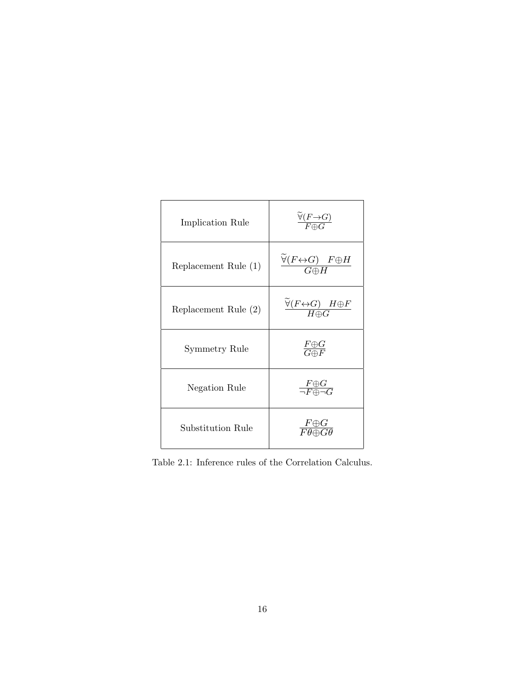<span id="page-17-0"></span>

| Implication Rule     | $\frac{\forall (F \rightarrow G)}{F \oplus G}$                                 |
|----------------------|--------------------------------------------------------------------------------|
| Replacement Rule (1) | $\frac{\widetilde{\forall}(F \leftrightarrow G) \quad F \oplus H}{G \oplus H}$ |
| Replacement Rule (2) | $\frac{\widetilde{\forall}(F \leftrightarrow G) \quad H \oplus F}{H \oplus G}$ |
| Symmetry Rule        | $\frac{F \oplus G}{G \oplus F}$                                                |
| Negation Rule        | $\frac{F \oplus G}{\neg F \oplus \neg G}$                                      |
| Substitution Rule    | $\frac{F \oplus G}{F \theta \oplus G \theta}$                                  |

Table 2.1: Inference rules of the Correlation Calculus.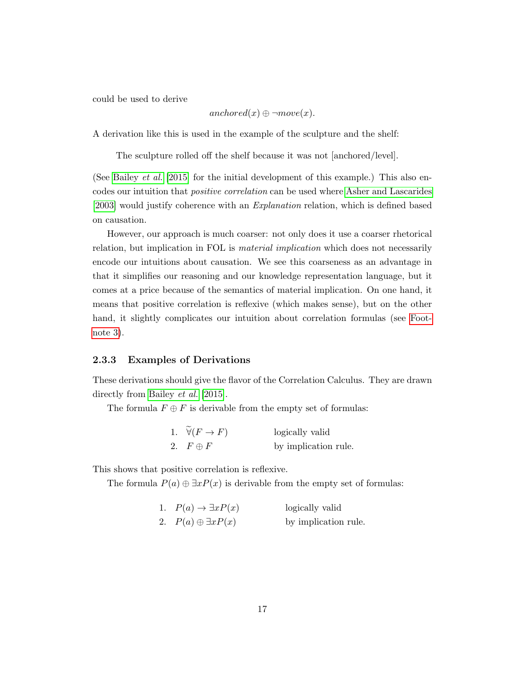could be used to derive

$$
anchored(x) \oplus \neg move(x).
$$

A derivation like this is used in the example of the sculpture and the shelf:

The sculpture rolled off the shelf because it was not [anchored/level].

(See [Bailey](#page-67-0) *et al.* [\[2015\]](#page-67-0) for the initial development of this example.) This also encodes our intuition that positive correlation can be used where [Asher and Lascarides](#page-67-1) [\[2003\]](#page-67-1) would justify coherence with an Explanation relation, which is defined based on causation.

However, our approach is much coarser: not only does it use a coarser rhetorical relation, but implication in FOL is *material implication* which does not necessarily encode our intuitions about causation. We see this coarseness as an advantage in that it simplifies our reasoning and our knowledge representation language, but it comes at a price because of the semantics of material implication. On one hand, it means that positive correlation is reflexive (which makes sense), but on the other hand, it slightly complicates our intuition about correlation formulas (see [Foot](#page-15-2)[note 3\)](#page-15-2).

#### <span id="page-18-0"></span>2.3.3 Examples of Derivations

These derivations should give the flavor of the Correlation Calculus. They are drawn directly from [Bailey](#page-67-0) *et al.* [\[2015\]](#page-67-0).

The formula  $F \oplus F$  is derivable from the empty set of formulas:

| 1. $\forall (F \rightarrow F)$ | logically valid      |
|--------------------------------|----------------------|
| 2. $F \oplus F$                | by implication rule. |

This shows that positive correlation is reflexive.

The formula  $P(a) \oplus \exists x P(x)$  is derivable from the empty set of formulas:

| 1. $P(a) \rightarrow \exists x P(x)$ | logically valid      |
|--------------------------------------|----------------------|
| 2. $P(a) \oplus \exists x P(x)$      | by implication rule. |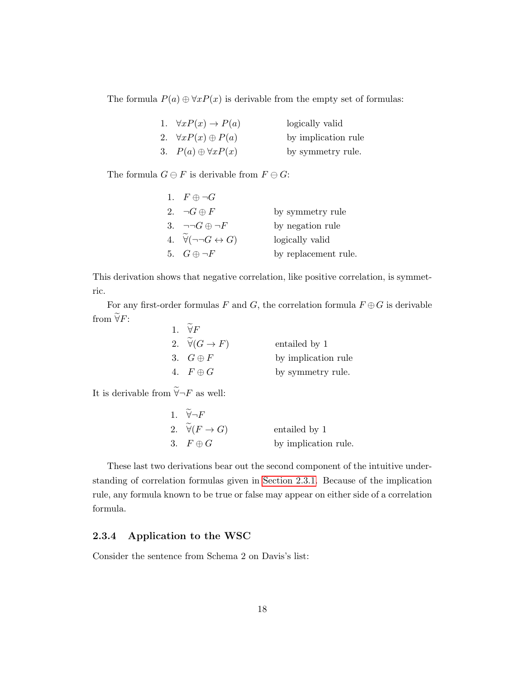The formula  $P(a) \oplus \forall x P(x)$  is derivable from the empty set of formulas:

| 1. $\forall x P(x) \rightarrow P(a)$ | logically valid     |
|--------------------------------------|---------------------|
| 2. $\forall x P(x) \oplus P(a)$      | by implication rule |
| 3. $P(a) \oplus \forall x P(x)$      | by symmetry rule.   |

The formula  $G \ominus F$  is derivable from  $F \ominus G$ :

| 1. $F \oplus \neg G$                       |                      |
|--------------------------------------------|----------------------|
| 2. $\neg G \oplus F$                       | by symmetry rule     |
| 3. $\neg\neg G \oplus \neg F$              | by negation rule     |
| 4. $\forall(\neg\neg G \leftrightarrow G)$ | logically valid      |
| 5. $G \oplus \neg F$                       | by replacement rule. |

This derivation shows that negative correlation, like positive correlation, is symmetric.

For any first-order formulas F and G, the correlation formula  $F \oplus G$  is derivable from  $\widetilde{\forall}F$ :

| 1. $\forall F$                     |                     |
|------------------------------------|---------------------|
| 2. $\widetilde{\forall} (G \to F)$ | entailed by 1       |
| 3. $G \oplus F$                    | by implication rule |
| 4. $F \oplus G$                    | by symmetry rule.   |

It is derivable from  $\widetilde{\forall} \neg F$  as well:

 $\sim$ 

| 1. $\forall \neg F$            |                      |
|--------------------------------|----------------------|
| 2. $\forall (F \rightarrow G)$ | entailed by 1        |
| 3. $F \oplus G$                | by implication rule. |

These last two derivations bear out the second component of the intuitive understanding of correlation formulas given in [Section 2.3.1.](#page-15-1) Because of the implication rule, any formula known to be true or false may appear on either side of a correlation formula.

#### <span id="page-19-0"></span>2.3.4 Application to the WSC

Consider the sentence from Schema 2 on Davis's list: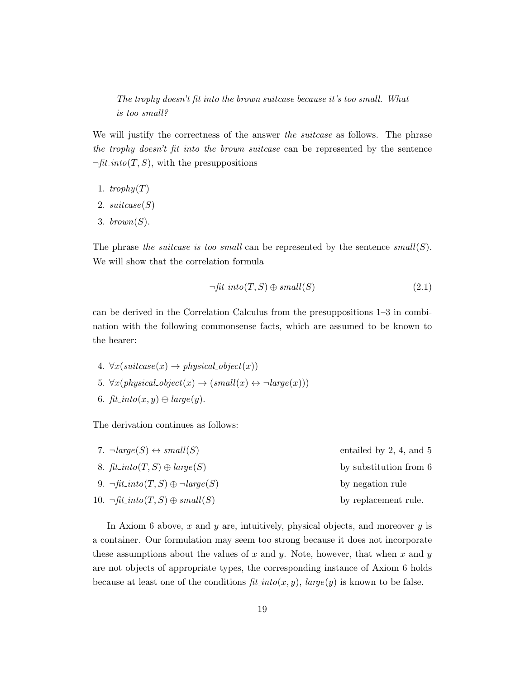The trophy doesn't fit into the brown suitcase because it's too small. What is too small?

We will justify the correctness of the answer the *suitcase* as follows. The phrase the trophy doesn't fit into the brown suitcase can be represented by the sentence  $\neg fit\_into(T, S)$ , with the presuppositions

- 1.  $trophy(T)$
- 2.  $suitase(S)$
- 3. brown $(S)$ .

The phrase the suitcase is too small can be represented by the sentence  $small(S)$ . We will show that the correlation formula

<span id="page-20-0"></span>
$$
\neg fit\_into(T, S) \oplus small(S) \tag{2.1}
$$

can be derived in the Correlation Calculus from the presuppositions 1–3 in combination with the following commonsense facts, which are assumed to be known to the hearer:

4.  $\forall x (suit case(x) \rightarrow physical\_object(x))$ 5.  $\forall x (physical\_object(x) \rightarrow (small(x) \leftrightarrow \neg large(x)))$ 6.  $\operatorname{fit}\nolimits$  into  $(x, y) \oplus \operatorname{large}(y)$ .

The derivation continues as follows:

| 7. $\neg large(S) \leftrightarrow small(S)$                                   | entailed by $2, 4$ , and $5$ |
|-------------------------------------------------------------------------------|------------------------------|
| 8. $\operatorname{fit}\nolimits$ into $(T, S) \oplus \operatorname{large}(S)$ | by substitution from 6       |
| 9. $\neg$ fit <sub>-</sub> into(T, S) $\oplus \neg large(S)$                  | by negation rule             |
| 10. $\neg \text{fit} \_into(T, S) \oplus \text{small}(S)$                     | by replacement rule.         |
|                                                                               |                              |

In Axiom 6 above,  $x$  and  $y$  are, intuitively, physical objects, and moreover  $y$  is a container. Our formulation may seem too strong because it does not incorporate these assumptions about the values of x and y. Note, however, that when x and y are not objects of appropriate types, the corresponding instance of Axiom 6 holds because at least one of the conditions  $\hat{f}$ *t* into(x, y), large(y) is known to be false.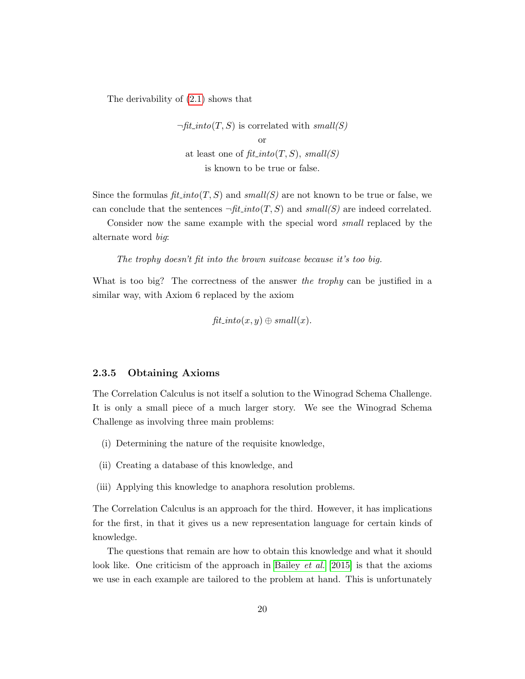The derivability of [\(2.1\)](#page-20-0) shows that

 $\neg fit\_into(T, S)$  is correlated with small(S) or at least one of  $\operatorname{fit}$ -into(T, S), small(S) is known to be true or false.

Since the formulas  $fit\_into(T, S)$  and  $small(S)$  are not known to be true or false, we can conclude that the sentences  $\neg \text{fit}\_into(T, S)$  and small(S) are indeed correlated.

Consider now the same example with the special word small replaced by the alternate word big:

The trophy doesn't fit into the brown suitcase because it's too big.

What is too big? The correctness of the answer the trophy can be justified in a similar way, with Axiom 6 replaced by the axiom

$$
\mathit{fit\_into}(x,y)\oplus \mathit{small}(x).
$$

#### <span id="page-21-0"></span>2.3.5 Obtaining Axioms

The Correlation Calculus is not itself a solution to the Winograd Schema Challenge. It is only a small piece of a much larger story. We see the Winograd Schema Challenge as involving three main problems:

- (i) Determining the nature of the requisite knowledge,
- (ii) Creating a database of this knowledge, and
- (iii) Applying this knowledge to anaphora resolution problems.

The Correlation Calculus is an approach for the third. However, it has implications for the first, in that it gives us a new representation language for certain kinds of knowledge.

The questions that remain are how to obtain this knowledge and what it should look like. One criticism of the approach in [Bailey](#page-67-0) *et al.* [\[2015\]](#page-67-0) is that the axioms we use in each example are tailored to the problem at hand. This is unfortunately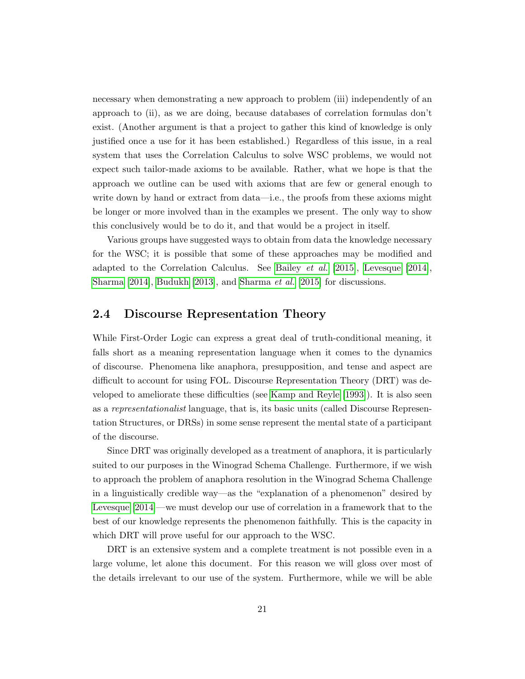necessary when demonstrating a new approach to problem (iii) independently of an approach to (ii), as we are doing, because databases of correlation formulas don't exist. (Another argument is that a project to gather this kind of knowledge is only justified once a use for it has been established.) Regardless of this issue, in a real system that uses the Correlation Calculus to solve WSC problems, we would not expect such tailor-made axioms to be available. Rather, what we hope is that the approach we outline can be used with axioms that are few or general enough to write down by hand or extract from data—i.e., the proofs from these axioms might be longer or more involved than in the examples we present. The only way to show this conclusively would be to do it, and that would be a project in itself.

Various groups have suggested ways to obtain from data the knowledge necessary for the WSC; it is possible that some of these approaches may be modified and adapted to the Correlation Calculus. See [Bailey](#page-67-0) et al. [\[2015\]](#page-67-0), [Levesque \[2014\]](#page-69-3), [Sharma \[2014\]](#page-69-5), [Budukh \[2013\]](#page-67-3), and [Sharma](#page-69-6) et al. [\[2015\]](#page-69-6) for discussions.

### <span id="page-22-0"></span>2.4 Discourse Representation Theory

While First-Order Logic can express a great deal of truth-conditional meaning, it falls short as a meaning representation language when it comes to the dynamics of discourse. Phenomena like anaphora, presupposition, and tense and aspect are difficult to account for using FOL. Discourse Representation Theory (DRT) was developed to ameliorate these difficulties (see [Kamp and Reyle \[1993\]](#page-68-7)). It is also seen as a representationalist language, that is, its basic units (called Discourse Representation Structures, or DRSs) in some sense represent the mental state of a participant of the discourse.

Since DRT was originally developed as a treatment of anaphora, it is particularly suited to our purposes in the Winograd Schema Challenge. Furthermore, if we wish to approach the problem of anaphora resolution in the Winograd Schema Challenge in a linguistically credible way—as the "explanation of a phenomenon" desired by [Levesque \[2014\]](#page-69-3)—we must develop our use of correlation in a framework that to the best of our knowledge represents the phenomenon faithfully. This is the capacity in which DRT will prove useful for our approach to the WSC.

DRT is an extensive system and a complete treatment is not possible even in a large volume, let alone this document. For this reason we will gloss over most of the details irrelevant to our use of the system. Furthermore, while we will be able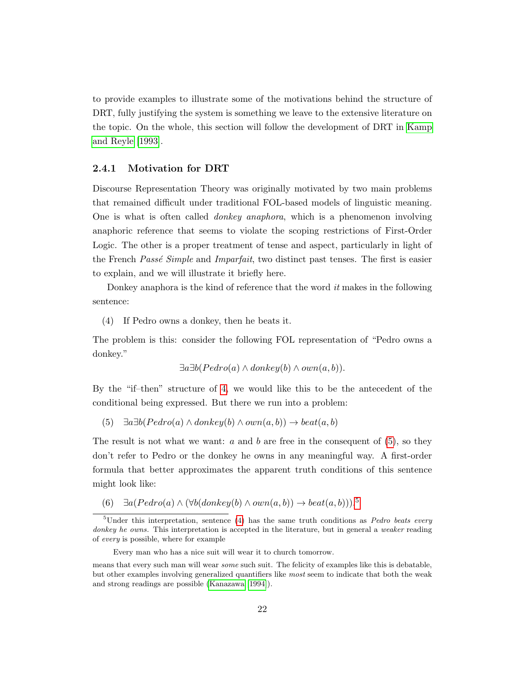to provide examples to illustrate some of the motivations behind the structure of DRT, fully justifying the system is something we leave to the extensive literature on the topic. On the whole, this section will follow the development of DRT in [Kamp](#page-68-7) [and Reyle \[1993\]](#page-68-7).

#### <span id="page-23-0"></span>2.4.1 Motivation for DRT

Discourse Representation Theory was originally motivated by two main problems that remained difficult under traditional FOL-based models of linguistic meaning. One is what is often called donkey anaphora, which is a phenomenon involving anaphoric reference that seems to violate the scoping restrictions of First-Order Logic. The other is a proper treatment of tense and aspect, particularly in light of the French *Passé Simple* and *Imparfait*, two distinct past tenses. The first is easier to explain, and we will illustrate it briefly here.

Donkey anaphora is the kind of reference that the word  $it$  makes in the following sentence:

<span id="page-23-1"></span>(4) If Pedro owns a donkey, then he beats it.

The problem is this: consider the following FOL representation of "Pedro owns a donkey."

```
\exists a \exists b (Pedro(a) \land donkey(b) \land own(a, b)).
```
By the "if–then" structure of [4,](#page-23-1) we would like this to be the antecedent of the conditional being expressed. But there we run into a problem:

<span id="page-23-2"></span>(5)  $\exists a \exists b (Pedro(a) \land donkey(b) \land own(a, b)) \rightarrow beat(a, b)$ 

The result is not what we want:  $a$  and  $b$  are free in the consequent of  $(5)$ , so they don't refer to Pedro or the donkey he owns in any meaningful way. A first-order formula that better approximates the apparent truth conditions of this sentence might look like:

<span id="page-23-4"></span>(6)  $\exists a (Pedro(a) \land (\forall b(donkey(b) \land own(a, b))) \rightarrow beat(a, b)))$ .<sup>[5](#page-23-3)</sup>

<span id="page-23-3"></span><sup>&</sup>lt;sup>5</sup>Under this interpretation, sentence [\(4\)](#page-23-1) has the same truth conditions as *Pedro beats every* donkey he owns. This interpretation is accepted in the literature, but in general a weaker reading of every is possible, where for example

Every man who has a nice suit will wear it to church tomorrow.

means that every such man will wear some such suit. The felicity of examples like this is debatable, but other examples involving generalized quantifiers like most seem to indicate that both the weak and strong readings are possible [\(Kanazawa](#page-68-8) [\[1994\]](#page-68-8)).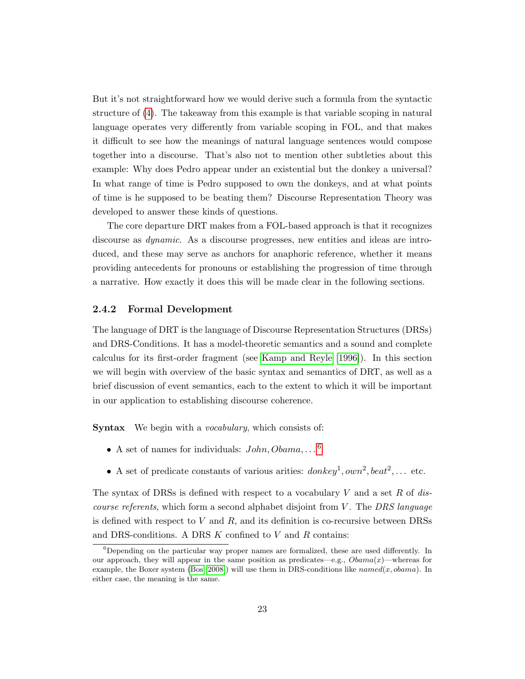But it's not straightforward how we would derive such a formula from the syntactic structure of [\(4\)](#page-23-1). The takeaway from this example is that variable scoping in natural language operates very differently from variable scoping in FOL, and that makes it difficult to see how the meanings of natural language sentences would compose together into a discourse. That's also not to mention other subtleties about this example: Why does Pedro appear under an existential but the donkey a universal? In what range of time is Pedro supposed to own the donkeys, and at what points of time is he supposed to be beating them? Discourse Representation Theory was developed to answer these kinds of questions.

The core departure DRT makes from a FOL-based approach is that it recognizes discourse as *dynamic*. As a discourse progresses, new entities and ideas are introduced, and these may serve as anchors for anaphoric reference, whether it means providing antecedents for pronouns or establishing the progression of time through a narrative. How exactly it does this will be made clear in the following sections.

#### <span id="page-24-0"></span>2.4.2 Formal Development

The language of DRT is the language of Discourse Representation Structures (DRSs) and DRS-Conditions. It has a model-theoretic semantics and a sound and complete calculus for its first-order fragment (see [Kamp and Reyle \[1996\]](#page-68-9)). In this section we will begin with overview of the basic syntax and semantics of DRT, as well as a brief discussion of event semantics, each to the extent to which it will be important in our application to establishing discourse coherence.

Syntax We begin with a vocabulary, which consists of:

- A set of names for individuals:  $John, Obama, \ldots$ <sup>[6](#page-24-1)</sup>
- A set of predicate constants of various arities:  $donkey^1, own^2, beat^2, \ldots$  etc.

The syntax of DRSs is defined with respect to a vocabulary V and a set R of dis*course referents*, which form a second alphabet disjoint from  $V$ . The DRS language is defined with respect to  $V$  and  $R$ , and its definition is co-recursive between DRSs and DRS-conditions. A DRS  $K$  confined to  $V$  and  $R$  contains:

<span id="page-24-1"></span> $6$ Depending on the particular way proper names are formalized, these are used differently. In our approach, they will appear in the same position as predicates—e.g.,  $Obama(x)$ —whereas for example, the Boxer system [\(Bos](#page-67-4) [\[2008\]](#page-67-4)) will use them in DRS-conditions like  $named(x, Obama)$ . In either case, the meaning is the same.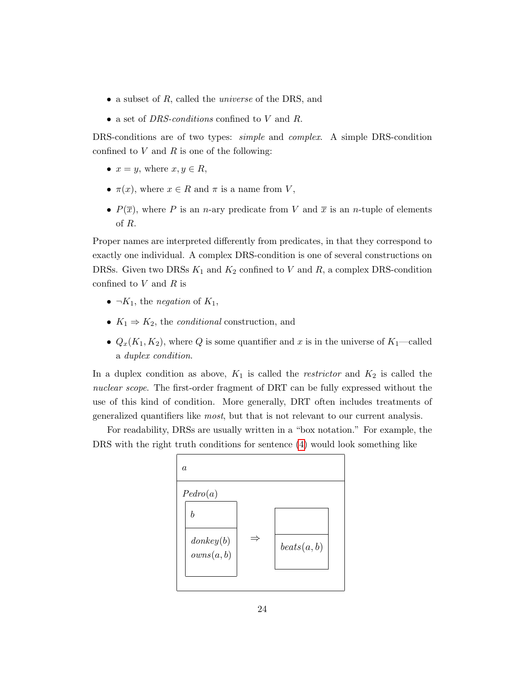- a subset of R, called the *universe* of the DRS, and
- a set of *DRS-conditions* confined to V and R.

DRS-conditions are of two types: *simple* and *complex*. A simple DRS-condition confined to  $V$  and  $R$  is one of the following:

- $x = y$ , where  $x, y \in R$ ,
- $\pi(x)$ , where  $x \in R$  and  $\pi$  is a name from V,
- $P(\overline{x})$ , where P is an n-ary predicate from V and  $\overline{x}$  is an n-tuple of elements of R.

Proper names are interpreted differently from predicates, in that they correspond to exactly one individual. A complex DRS-condition is one of several constructions on DRSs. Given two DRSs  $K_1$  and  $K_2$  confined to V and R, a complex DRS-condition confined to  $V$  and  $R$  is

- $\neg K_1$ , the *negation* of  $K_1$ ,
- $K_1 \Rightarrow K_2$ , the *conditional* construction, and
- $Q_x(K_1, K_2)$ , where Q is some quantifier and x is in the universe of  $K_1$ —called a duplex condition.

In a duplex condition as above,  $K_1$  is called the *restrictor* and  $K_2$  is called the nuclear scope. The first-order fragment of DRT can be fully expressed without the use of this kind of condition. More generally, DRT often includes treatments of generalized quantifiers like most, but that is not relevant to our current analysis.

For readability, DRSs are usually written in a "box notation." For example, the DRS with the right truth conditions for sentence [\(4\)](#page-23-1) would look something like

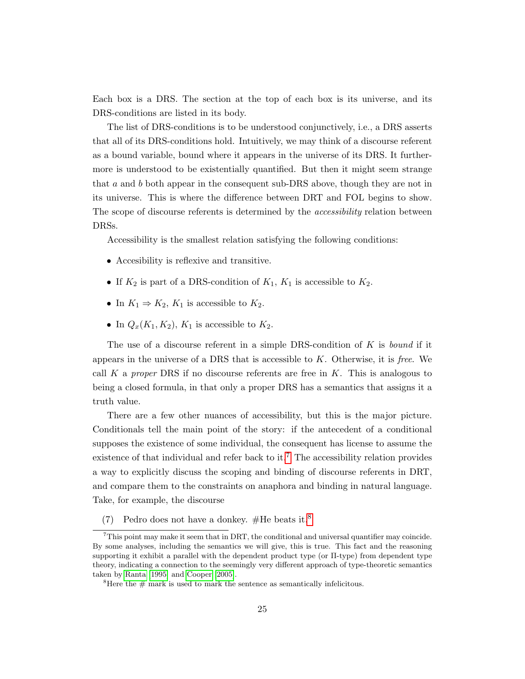Each box is a DRS. The section at the top of each box is its universe, and its DRS-conditions are listed in its body.

The list of DRS-conditions is to be understood conjunctively, i.e., a DRS asserts that all of its DRS-conditions hold. Intuitively, we may think of a discourse referent as a bound variable, bound where it appears in the universe of its DRS. It furthermore is understood to be existentially quantified. But then it might seem strange that a and b both appear in the consequent sub-DRS above, though they are not in its universe. This is where the difference between DRT and FOL begins to show. The scope of discourse referents is determined by the *accessibility* relation between DRSs.

Accessibility is the smallest relation satisfying the following conditions:

- Accesibility is reflexive and transitive.
- If  $K_2$  is part of a DRS-condition of  $K_1$ ,  $K_1$  is accessible to  $K_2$ .
- In  $K_1 \Rightarrow K_2, K_1$  is accessible to  $K_2$ .
- In  $Q_x(K_1, K_2)$ ,  $K_1$  is accessible to  $K_2$ .

The use of a discourse referent in a simple DRS-condition of  $K$  is bound if it appears in the universe of a DRS that is accessible to  $K$ . Otherwise, it is free. We call K a proper DRS if no discourse referents are free in K. This is analogous to being a closed formula, in that only a proper DRS has a semantics that assigns it a truth value.

There are a few other nuances of accessibility, but this is the major picture. Conditionals tell the main point of the story: if the antecedent of a conditional supposes the existence of some individual, the consequent has license to assume the existence of that individual and refer back to it.<sup>[7](#page-26-0)</sup> The accessibility relation provides a way to explicitly discuss the scoping and binding of discourse referents in DRT, and compare them to the constraints on anaphora and binding in natural language. Take, for example, the discourse

(7) Pedro does not have a donkey. #He beats it.<sup>[8](#page-26-1)</sup>

<span id="page-26-0"></span><sup>7</sup>This point may make it seem that in DRT, the conditional and universal quantifier may coincide. By some analyses, including the semantics we will give, this is true. This fact and the reasoning supporting it exhibit a parallel with the dependent product type (or Π-type) from dependent type theory, indicating a connection to the seemingly very different approach of type-theoretic semantics taken by [Ranta](#page-69-7) [\[1995\]](#page-69-7) and [Cooper](#page-67-5) [\[2005\]](#page-67-5).

<span id="page-26-1"></span><sup>&</sup>lt;sup>8</sup>Here the  $#$  mark is used to mark the sentence as semantically infelicitous.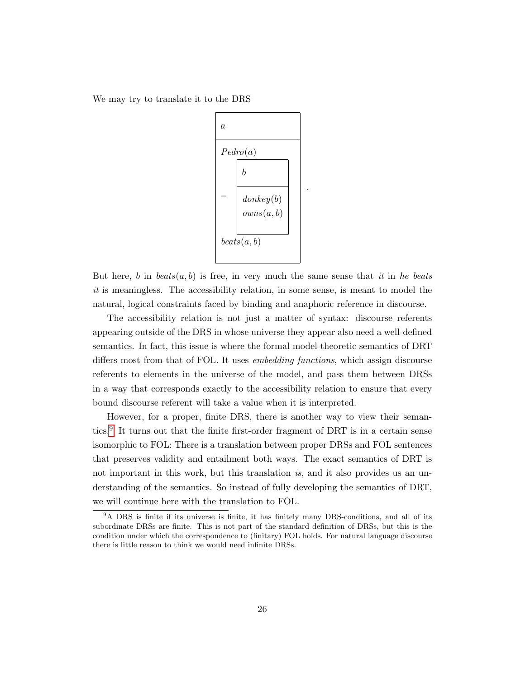We may try to translate it to the DRS



.

But here, b in  $beats(a, b)$  is free, in very much the same sense that it in he beats it is meaningless. The accessibility relation, in some sense, is meant to model the natural, logical constraints faced by binding and anaphoric reference in discourse.

The accessibility relation is not just a matter of syntax: discourse referents appearing outside of the DRS in whose universe they appear also need a well-defined semantics. In fact, this issue is where the formal model-theoretic semantics of DRT differs most from that of FOL. It uses *embedding functions*, which assign discourse referents to elements in the universe of the model, and pass them between DRSs in a way that corresponds exactly to the accessibility relation to ensure that every bound discourse referent will take a value when it is interpreted.

However, for a proper, finite DRS, there is another way to view their semantics.[9](#page-27-0) It turns out that the finite first-order fragment of DRT is in a certain sense isomorphic to FOL: There is a translation between proper DRSs and FOL sentences that preserves validity and entailment both ways. The exact semantics of DRT is not important in this work, but this translation is, and it also provides us an understanding of the semantics. So instead of fully developing the semantics of DRT, we will continue here with the translation to FOL.

<span id="page-27-0"></span><sup>&</sup>lt;sup>9</sup>A DRS is finite if its universe is finite, it has finitely many DRS-conditions, and all of its subordinate DRSs are finite. This is not part of the standard definition of DRSs, but this is the condition under which the correspondence to (finitary) FOL holds. For natural language discourse there is little reason to think we would need infinite DRSs.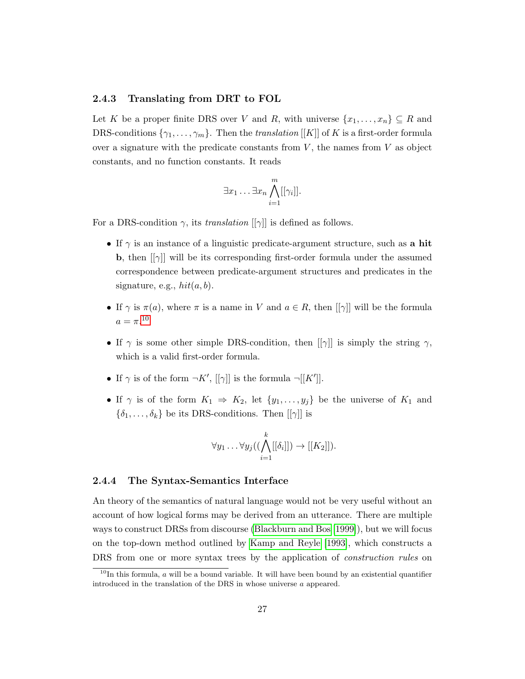#### <span id="page-28-0"></span>2.4.3 Translating from DRT to FOL

Let K be a proper finite DRS over V and R, with universe  $\{x_1, \ldots, x_n\} \subseteq R$  and DRS-conditions  $\{\gamma_1, \ldots, \gamma_m\}$ . Then the *translation* [[K]] of K is a first-order formula over a signature with the predicate constants from  $V$ , the names from  $V$  as object constants, and no function constants. It reads

$$
\exists x_1 \ldots \exists x_n \bigwedge_{i=1}^m [[\gamma_i]].
$$

For a DRS-condition  $\gamma$ , its *translation* [[ $\gamma$ ]] is defined as follows.

- If  $\gamma$  is an instance of a linguistic predicate-argument structure, such as a hit **b**, then  $\left[\left[\gamma\right]\right]$  will be its corresponding first-order formula under the assumed correspondence between predicate-argument structures and predicates in the signature, e.g.,  $hit(a, b)$ .
- If  $\gamma$  is  $\pi(a)$ , where  $\pi$  is a name in V and  $a \in R$ , then  $[[\gamma]]$  will be the formula  $a = \pi^{10}$  $a = \pi^{10}$  $a = \pi^{10}$
- If  $\gamma$  is some other simple DRS-condition, then  $[[\gamma]]$  is simply the string  $\gamma$ , which is a valid first-order formula.
- If  $\gamma$  is of the form  $\neg K', [\gamma]]$  is the formula  $\neg [[K']]$ .
- If  $\gamma$  is of the form  $K_1 \Rightarrow K_2$ , let  $\{y_1, \ldots, y_j\}$  be the universe of  $K_1$  and  $\{\delta_1, \ldots, \delta_k\}$  be its DRS-conditions. Then  $[[\gamma]]$  is

$$
\forall y_1 \ldots \forall y_j((\bigwedge_{i=1}^k [[\delta_i]]) \rightarrow [[K_2]]).
$$

#### <span id="page-28-1"></span>2.4.4 The Syntax-Semantics Interface

An theory of the semantics of natural language would not be very useful without an account of how logical forms may be derived from an utterance. There are multiple ways to construct DRSs from discourse [\(Blackburn and Bos \[1999\]](#page-67-6)), but we will focus on the top-down method outlined by [Kamp and Reyle \[1993\]](#page-68-7), which constructs a DRS from one or more syntax trees by the application of *construction rules* on

<span id="page-28-2"></span> $10$ In this formula, a will be a bound variable. It will have been bound by an existential quantifier introduced in the translation of the DRS in whose universe a appeared.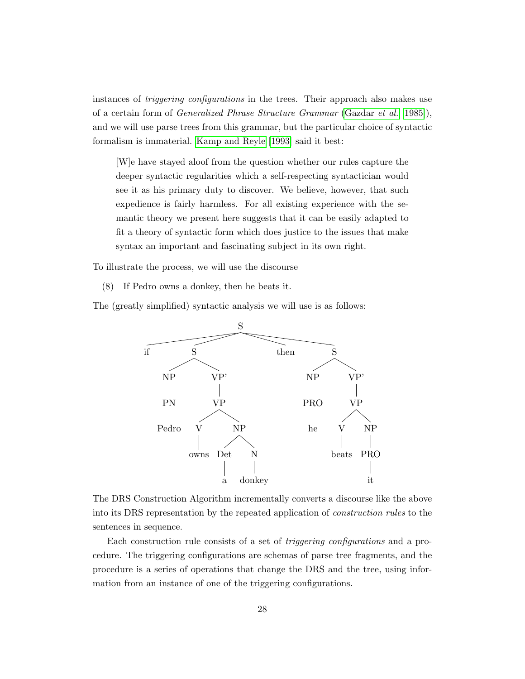instances of *triggering configurations* in the trees. Their approach also makes use of a certain form of Generalized Phrase Structure Grammar [\(Gazdar](#page-68-10) et al. [\[1985\]](#page-68-10)), and we will use parse trees from this grammar, but the particular choice of syntactic formalism is immaterial. [Kamp and Reyle \[1993\]](#page-68-7) said it best:

[W]e have stayed aloof from the question whether our rules capture the deeper syntactic regularities which a self-respecting syntactician would see it as his primary duty to discover. We believe, however, that such expedience is fairly harmless. For all existing experience with the semantic theory we present here suggests that it can be easily adapted to fit a theory of syntactic form which does justice to the issues that make syntax an important and fascinating subject in its own right.

To illustrate the process, we will use the discourse

<span id="page-29-0"></span>(8) If Pedro owns a donkey, then he beats it.

The (greatly simplified) syntactic analysis we will use is as follows:



The DRS Construction Algorithm incrementally converts a discourse like the above into its DRS representation by the repeated application of construction rules to the sentences in sequence.

Each construction rule consists of a set of triggering configurations and a procedure. The triggering configurations are schemas of parse tree fragments, and the procedure is a series of operations that change the DRS and the tree, using information from an instance of one of the triggering configurations.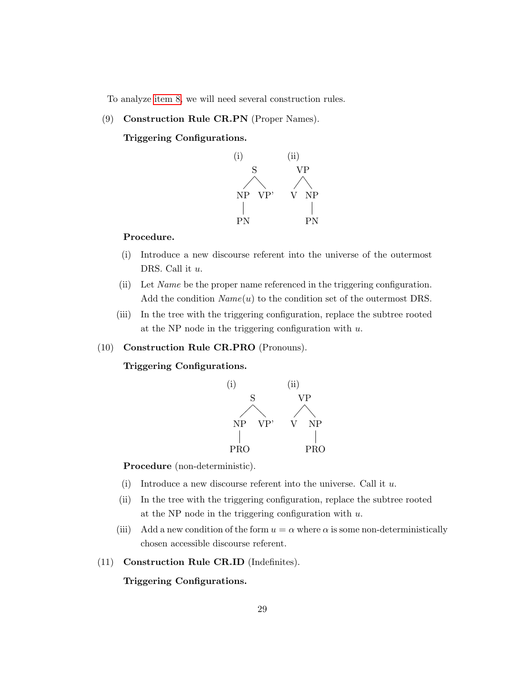To analyze [item 8,](#page-29-0) we will need several construction rules.

(9) Construction Rule CR.PN (Proper Names).

Triggering Configurations.



#### Procedure.

- (i) Introduce a new discourse referent into the universe of the outermost DRS. Call it  $u$ .
- (ii) Let Name be the proper name referenced in the triggering configuration. Add the condition  $Name(u)$  to the condition set of the outermost DRS.
- (iii) In the tree with the triggering configuration, replace the subtree rooted at the NP node in the triggering configuration with  $u$ .
- (10) Construction Rule CR.PRO (Pronouns).

Triggering Configurations.



Procedure (non-deterministic).

- (i) Introduce a new discourse referent into the universe. Call it  $u$ .
- (ii) In the tree with the triggering configuration, replace the subtree rooted at the NP node in the triggering configuration with  $u$ .
- (iii) Add a new condition of the form  $u = \alpha$  where  $\alpha$  is some non-deterministically chosen accessible discourse referent.
- (11) Construction Rule CR.ID (Indefinites).

Triggering Configurations.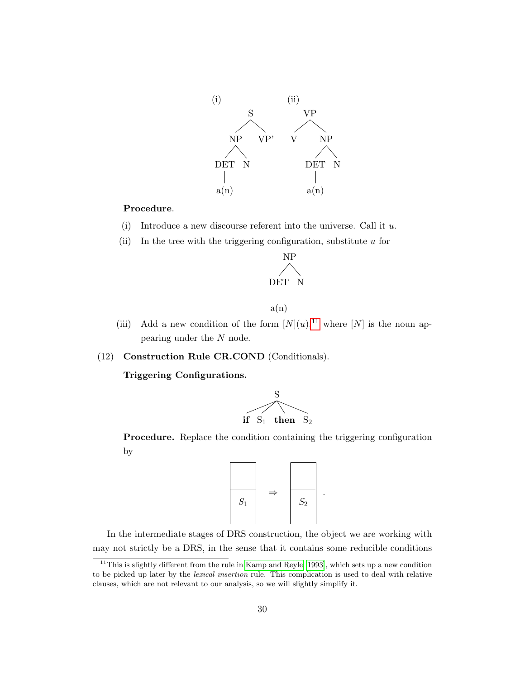

#### Procedure.

- (i) Introduce a new discourse referent into the universe. Call it  $u$ .
- (ii) In the tree with the triggering configuration, substitute  $u$  for



- (iii) Add a new condition of the form  $[N](u)$ ,<sup>[11](#page-31-0)</sup> where  $[N]$  is the noun appearing under the N node.
- (12) Construction Rule CR.COND (Conditionals).

Triggering Configurations.



Procedure. Replace the condition containing the triggering configuration by



.

In the intermediate stages of DRS construction, the object we are working with may not strictly be a DRS, in the sense that it contains some reducible conditions

<span id="page-31-0"></span> $11$ This is slightly different from the rule in [Kamp and Reyle](#page-68-7) [\[1993\]](#page-68-7), which sets up a new condition to be picked up later by the lexical insertion rule. This complication is used to deal with relative clauses, which are not relevant to our analysis, so we will slightly simplify it.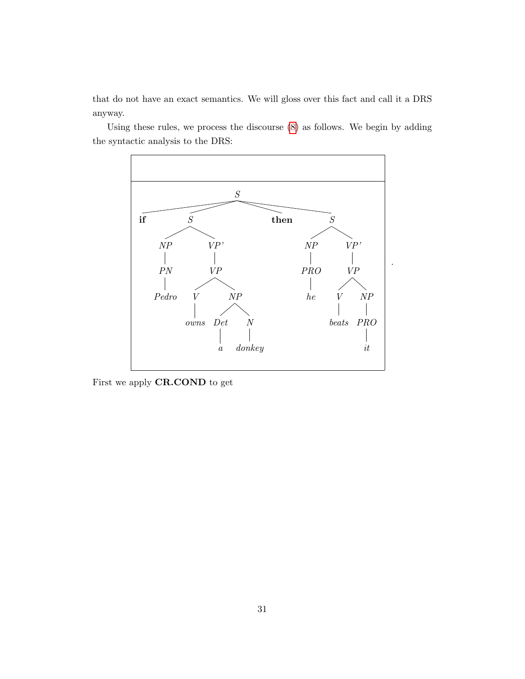that do not have an exact semantics. We will gloss over this fact and call it a DRS anyway.

Using these rules, we process the discourse [\(8\)](#page-29-0) as follows. We begin by adding the syntactic analysis to the DRS:



First we apply CR.COND to get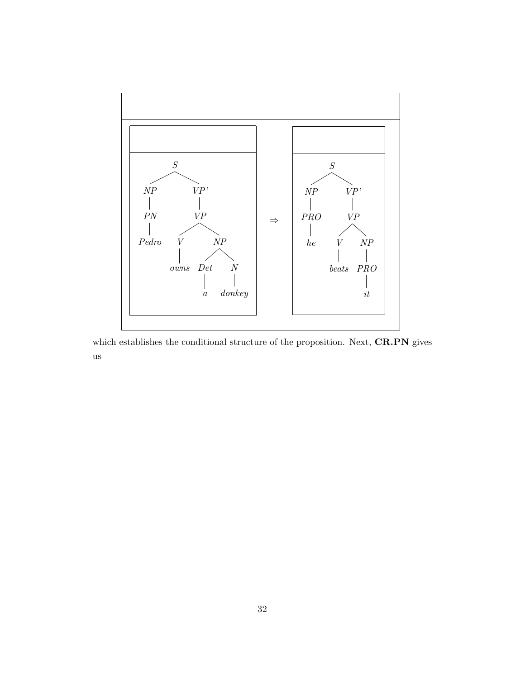

which establishes the conditional structure of the proposition. Next,  $\mathbf{C}\mathbf{R}\text{-}\mathbf{P}\mathbf{N}$  gives us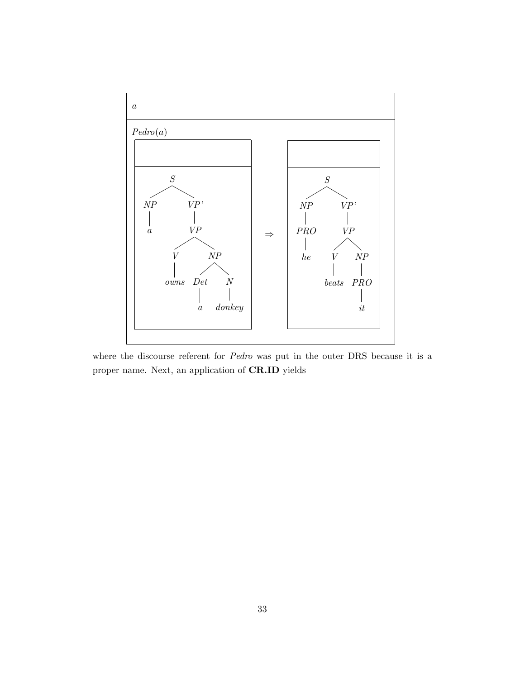

where the discourse referent for Pedro was put in the outer DRS because it is a proper name. Next, an application of CR.ID yields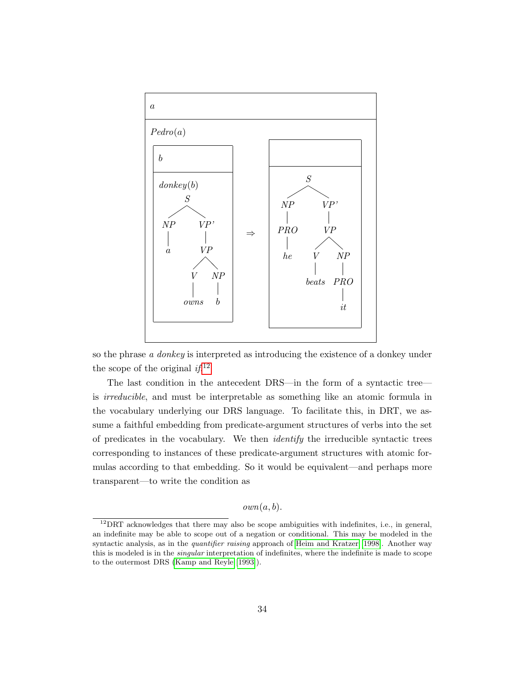

so the phrase a donkey is interpreted as introducing the existence of a donkey under the scope of the original  $if.$ <sup>[12](#page-35-0)</sup>

The last condition in the antecedent DRS—in the form of a syntactic tree is irreducible, and must be interpretable as something like an atomic formula in the vocabulary underlying our DRS language. To facilitate this, in DRT, we assume a faithful embedding from predicate-argument structures of verbs into the set of predicates in the vocabulary. We then identify the irreducible syntactic trees corresponding to instances of these predicate-argument structures with atomic formulas according to that embedding. So it would be equivalent—and perhaps more transparent—to write the condition as

#### $own(a, b)$ .

<span id="page-35-0"></span><sup>&</sup>lt;sup>12</sup>DRT acknowledges that there may also be scope ambiguities with indefinites, i.e., in general, an indefinite may be able to scope out of a negation or conditional. This may be modeled in the syntactic analysis, as in the *quantifier raising* approach of [Heim and Kratzer](#page-68-11) [\[1998\]](#page-68-11). Another way this is modeled is in the *singular* interpretation of indefinites, where the indefinite is made to scope to the outermost DRS [\(Kamp and Reyle](#page-68-7) [\[1993\]](#page-68-7)).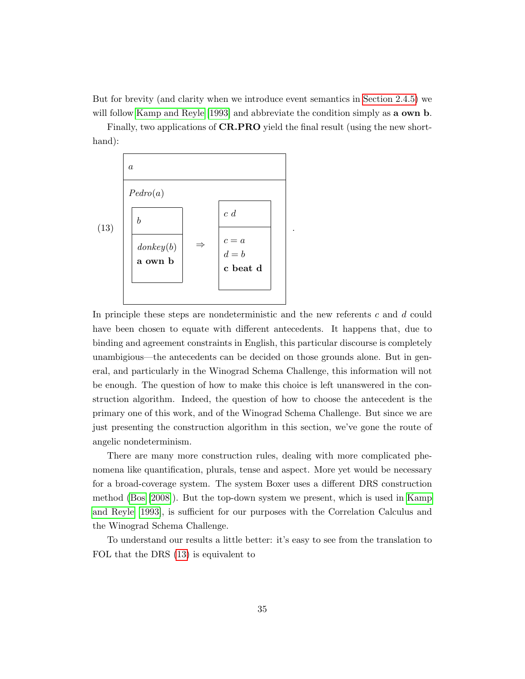But for brevity (and clarity when we introduce event semantics in [Section 2.4.5\)](#page-38-0) we will follow [Kamp and Reyle \[1993\]](#page-68-7) and abbreviate the condition simply as **a own b**.

Finally, two applications of **CR.PRO** yield the final result (using the new shorthand):

<span id="page-36-0"></span>

In principle these steps are nondeterministic and the new referents c and d could have been chosen to equate with different antecedents. It happens that, due to binding and agreement constraints in English, this particular discourse is completely unambigious—the antecedents can be decided on those grounds alone. But in general, and particularly in the Winograd Schema Challenge, this information will not be enough. The question of how to make this choice is left unanswered in the construction algorithm. Indeed, the question of how to choose the antecedent is the primary one of this work, and of the Winograd Schema Challenge. But since we are just presenting the construction algorithm in this section, we've gone the route of angelic nondeterminism.

There are many more construction rules, dealing with more complicated phenomena like quantification, plurals, tense and aspect. More yet would be necessary for a broad-coverage system. The system Boxer uses a different DRS construction method [\(Bos \[2008\]](#page-67-4)). But the top-down system we present, which is used in [Kamp](#page-68-7) [and Reyle \[1993\]](#page-68-7), is sufficient for our purposes with the Correlation Calculus and the Winograd Schema Challenge.

To understand our results a little better: it's easy to see from the translation to FOL that the DRS [\(13\)](#page-36-0) is equivalent to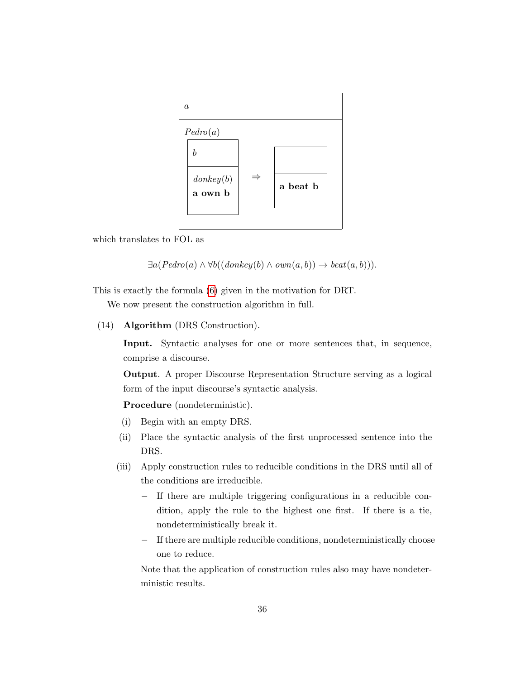

which translates to FOL as

 $\exists a (Pedro(a) \land \forall b ((donkey(b) \land own(a, b)) \rightarrow beat(a, b))).$ 

This is exactly the formula [\(6\)](#page-23-4) given in the motivation for DRT.

We now present the construction algorithm in full.

(14) Algorithm (DRS Construction).

Input. Syntactic analyses for one or more sentences that, in sequence, comprise a discourse.

Output. A proper Discourse Representation Structure serving as a logical form of the input discourse's syntactic analysis.

Procedure (nondeterministic).

- (i) Begin with an empty DRS.
- (ii) Place the syntactic analysis of the first unprocessed sentence into the DRS.
- (iii) Apply construction rules to reducible conditions in the DRS until all of the conditions are irreducible.
	- If there are multiple triggering configurations in a reducible condition, apply the rule to the highest one first. If there is a tie, nondeterministically break it.
	- If there are multiple reducible conditions, nondeterministically choose one to reduce.

Note that the application of construction rules also may have nondeterministic results.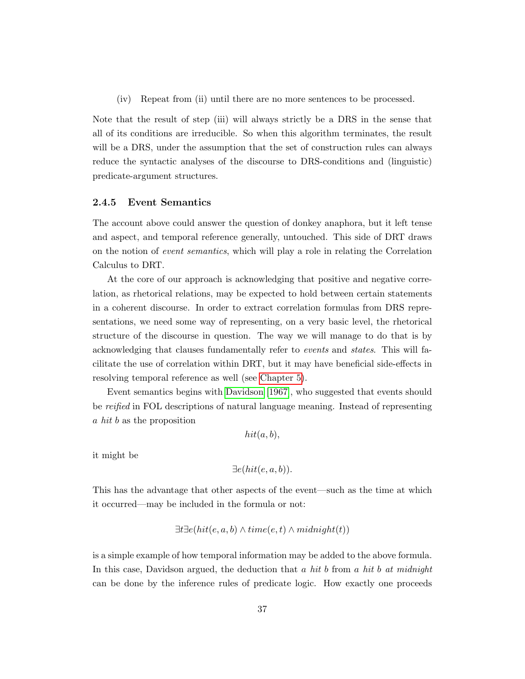(iv) Repeat from (ii) until there are no more sentences to be processed.

Note that the result of step (iii) will always strictly be a DRS in the sense that all of its conditions are irreducible. So when this algorithm terminates, the result will be a DRS, under the assumption that the set of construction rules can always reduce the syntactic analyses of the discourse to DRS-conditions and (linguistic) predicate-argument structures.

#### <span id="page-38-0"></span>2.4.5 Event Semantics

The account above could answer the question of donkey anaphora, but it left tense and aspect, and temporal reference generally, untouched. This side of DRT draws on the notion of event semantics, which will play a role in relating the Correlation Calculus to DRT.

At the core of our approach is acknowledging that positive and negative correlation, as rhetorical relations, may be expected to hold between certain statements in a coherent discourse. In order to extract correlation formulas from DRS representations, we need some way of representing, on a very basic level, the rhetorical structure of the discourse in question. The way we will manage to do that is by acknowledging that clauses fundamentally refer to events and states. This will facilitate the use of correlation within DRT, but it may have beneficial side-effects in resolving temporal reference as well (see [Chapter 5\)](#page-61-0).

Event semantics begins with [Davidson \[1967\]](#page-67-7), who suggested that events should be reified in FOL descriptions of natural language meaning. Instead of representing a hit b as the proposition

 $hit(a, b),$ 

it might be

$$
\exists e(hit(e, a, b)).
$$

This has the advantage that other aspects of the event—such as the time at which it occurred—may be included in the formula or not:

$$
\exists t \exists e (hit(e, a, b) \land time(e, t) \land midnight(t))
$$

is a simple example of how temporal information may be added to the above formula. In this case, Davidson argued, the deduction that a hit b from a hit b at midnight can be done by the inference rules of predicate logic. How exactly one proceeds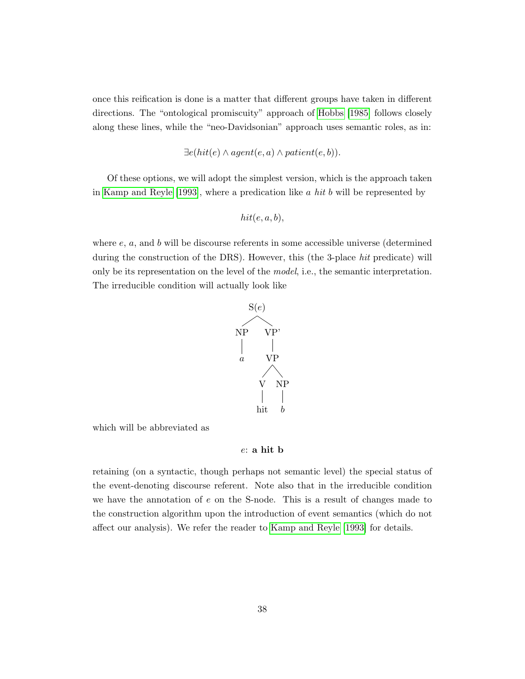once this reification is done is a matter that different groups have taken in different directions. The "ontological promiscuity" approach of [Hobbs \[1985\]](#page-68-12) follows closely along these lines, while the "neo-Davidsonian" approach uses semantic roles, as in:

$$
\exists e(hit(e) \land agent(e, a) \land patient(e, b)).
$$

Of these options, we will adopt the simplest version, which is the approach taken in [Kamp and Reyle \[1993\]](#page-68-7), where a predication like  $a$  hit  $b$  will be represented by

hit(e, a, b),

where  $e$ ,  $a$ , and  $b$  will be discourse referents in some accessible universe (determined during the construction of the DRS). However, this (the 3-place hit predicate) will only be its representation on the level of the model, i.e., the semantic interpretation. The irreducible condition will actually look like



which will be abbreviated as

#### e: a hit b

retaining (on a syntactic, though perhaps not semantic level) the special status of the event-denoting discourse referent. Note also that in the irreducible condition we have the annotation of e on the S-node. This is a result of changes made to the construction algorithm upon the introduction of event semantics (which do not affect our analysis). We refer the reader to [Kamp and Reyle \[1993\]](#page-68-7) for details.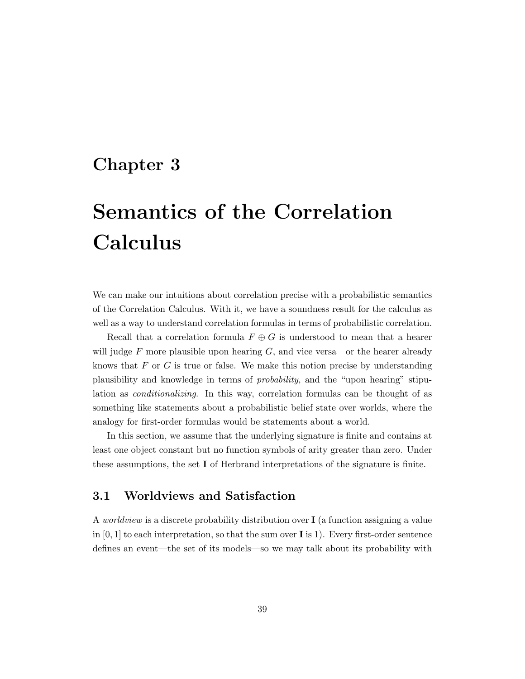## <span id="page-40-0"></span>Chapter 3

# Semantics of the Correlation Calculus

We can make our intuitions about correlation precise with a probabilistic semantics of the Correlation Calculus. With it, we have a soundness result for the calculus as well as a way to understand correlation formulas in terms of probabilistic correlation.

Recall that a correlation formula  $F \oplus G$  is understood to mean that a hearer will judge  $F$  more plausible upon hearing  $G$ , and vice versa—or the hearer already knows that  $F$  or  $G$  is true or false. We make this notion precise by understanding plausibility and knowledge in terms of probability, and the "upon hearing" stipulation as conditionalizing. In this way, correlation formulas can be thought of as something like statements about a probabilistic belief state over worlds, where the analogy for first-order formulas would be statements about a world.

In this section, we assume that the underlying signature is finite and contains at least one object constant but no function symbols of arity greater than zero. Under these assumptions, the set I of Herbrand interpretations of the signature is finite.

## <span id="page-40-1"></span>3.1 Worldviews and Satisfaction

A *worldview* is a discrete probability distribution over  $I$  (a function assigning a value in  $[0, 1]$  to each interpretation, so that the sum over **I** is 1). Every first-order sentence defines an event—the set of its models—so we may talk about its probability with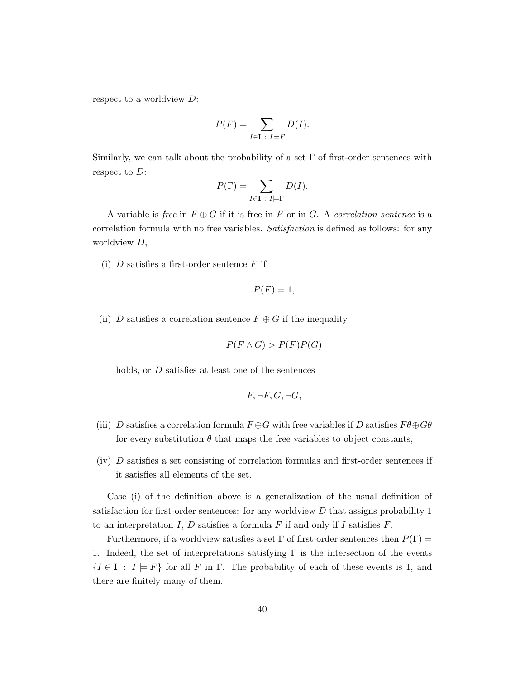respect to a worldview D:

$$
P(F) = \sum_{I \in \mathbf{I} \; : \; I \models F} D(I).
$$

Similarly, we can talk about the probability of a set  $\Gamma$  of first-order sentences with respect to D:

$$
P(\Gamma) = \sum_{I \in \mathbf{I} \; : \; I \models \Gamma} D(I).
$$

A variable is free in  $F \oplus G$  if it is free in F or in G. A correlation sentence is a correlation formula with no free variables. Satisfaction is defined as follows: for any worldview D,

(i)  $D$  satisfies a first-order sentence  $F$  if

$$
P(F) = 1,
$$

(ii) D satisfies a correlation sentence  $F \oplus G$  if the inequality

$$
P(F \wedge G) > P(F)P(G)
$$

holds, or D satisfies at least one of the sentences

$$
F, \neg F, G, \neg G,
$$

- (iii) D satisfies a correlation formula  $F \oplus G$  with free variables if D satisfies  $F \theta \oplus G \theta$ for every substitution  $\theta$  that maps the free variables to object constants,
- (iv) D satisfies a set consisting of correlation formulas and first-order sentences if it satisfies all elements of the set.

Case (i) of the definition above is a generalization of the usual definition of satisfaction for first-order sentences: for any worldview  $D$  that assigns probability 1 to an interpretation I, D satisfies a formula F if and only if I satisfies  $F$ .

Furthermore, if a worldview satisfies a set  $\Gamma$  of first-order sentences then  $P(\Gamma)$  = 1. Indeed, the set of interpretations satisfying  $\Gamma$  is the intersection of the events  ${I \in I : I \models F}$  for all F in  $\Gamma$ . The probability of each of these events is 1, and there are finitely many of them.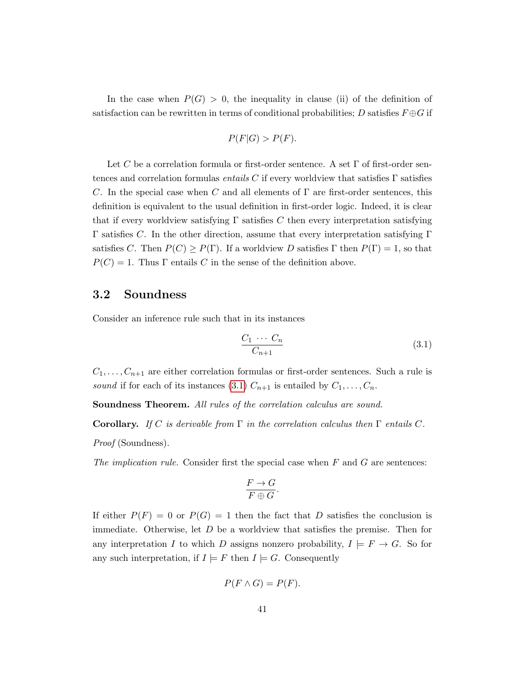In the case when  $P(G) > 0$ , the inequality in clause (ii) of the definition of satisfaction can be rewritten in terms of conditional probabilities; D satisfies  $F \oplus G$  if

$$
P(F|G) > P(F).
$$

Let C be a correlation formula or first-order sentence. A set  $\Gamma$  of first-order sentences and correlation formulas *entails C* if every worldview that satisfies  $\Gamma$  satisfies C. In the special case when C and all elements of  $\Gamma$  are first-order sentences, this definition is equivalent to the usual definition in first-order logic. Indeed, it is clear that if every worldview satisfying  $\Gamma$  satisfies C then every interpretation satisfying Γ satisfies C. In the other direction, assume that every interpretation satisfying Γ satisfies C. Then  $P(C) \ge P(\Gamma)$ . If a worldview D satisfies  $\Gamma$  then  $P(\Gamma) = 1$ , so that  $P(C) = 1$ . Thus Γ entails C in the sense of the definition above.

### <span id="page-42-0"></span>3.2 Soundness

Consider an inference rule such that in its instances

<span id="page-42-1"></span>
$$
\frac{C_1 \cdots C_n}{C_{n+1}}\tag{3.1}
$$

 $C_1, \ldots, C_{n+1}$  are either correlation formulas or first-order sentences. Such a rule is sound if for each of its instances [\(3.1\)](#page-42-1)  $C_{n+1}$  is entailed by  $C_1, \ldots, C_n$ .

Soundness Theorem. All rules of the correlation calculus are sound.

**Corollary.** If C is derivable from  $\Gamma$  in the correlation calculus then  $\Gamma$  entails C. Proof (Soundness).

The implication rule. Consider first the special case when  $F$  and  $G$  are sentences:

$$
\frac{F \to G}{F \oplus G}.
$$

If either  $P(F) = 0$  or  $P(G) = 1$  then the fact that D satisfies the conclusion is immediate. Otherwise, let  $D$  be a worldview that satisfies the premise. Then for any interpretation I to which D assigns nonzero probability,  $I \models F \rightarrow G$ . So for any such interpretation, if  $I \models F$  then  $I \models G$ . Consequently

$$
P(F \wedge G) = P(F).
$$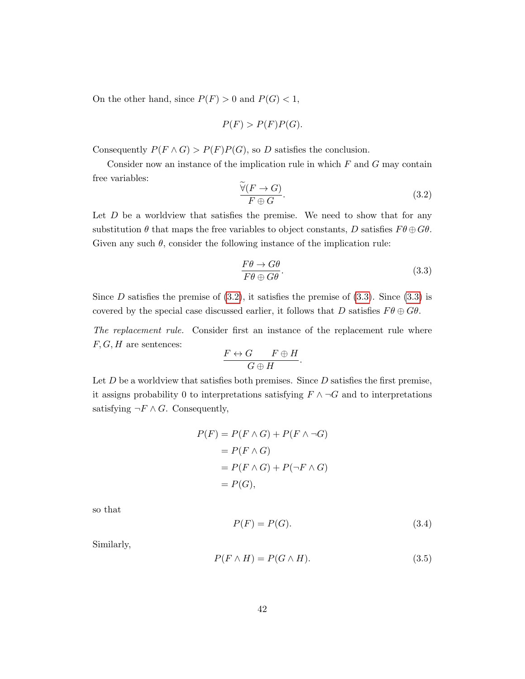On the other hand, since  $P(F) > 0$  and  $P(G) < 1$ ,

$$
P(F) > P(F)P(G).
$$

Consequently  $P(F \wedge G) > P(F)P(G)$ , so D satisfies the conclusion.

<span id="page-43-0"></span>Consider now an instance of the implication rule in which  $F$  and  $G$  may contain free variables:

$$
\frac{\widetilde{\forall}(F \to G)}{F \oplus G}.\tag{3.2}
$$

Let  $D$  be a worldview that satisfies the premise. We need to show that for any substitution  $\theta$  that maps the free variables to object constants, D satisfies  $F\theta \oplus G\theta$ . Given any such  $\theta$ , consider the following instance of the implication rule:

<span id="page-43-1"></span>
$$
\frac{F\theta \to G\theta}{F\theta \oplus G\theta}.\tag{3.3}
$$

Since  $D$  satisfies the premise of  $(3.2)$ , it satisfies the premise of  $(3.3)$ . Since  $(3.3)$  is covered by the special case discussed earlier, it follows that D satisfies  $F\theta \oplus G\theta$ .

The replacement rule. Consider first an instance of the replacement rule where  $F, G, H$  are sentences:

$$
\frac{F \leftrightarrow G \qquad F \oplus H}{G \oplus H}.
$$

Let  $D$  be a worldview that satisfies both premises. Since  $D$  satisfies the first premise, it assigns probability 0 to interpretations satisfying  $F \wedge \neg G$  and to interpretations satisfying  $\neg F \wedge G$ . Consequently,

$$
P(F) = P(F \wedge G) + P(F \wedge \neg G)
$$
  
= 
$$
P(F \wedge G)
$$
  
= 
$$
P(F \wedge G) + P(\neg F \wedge G)
$$
  
= 
$$
P(G),
$$

<span id="page-43-2"></span>so that

$$
P(F) = P(G). \tag{3.4}
$$

<span id="page-43-3"></span>Similarly,

$$
P(F \wedge H) = P(G \wedge H). \tag{3.5}
$$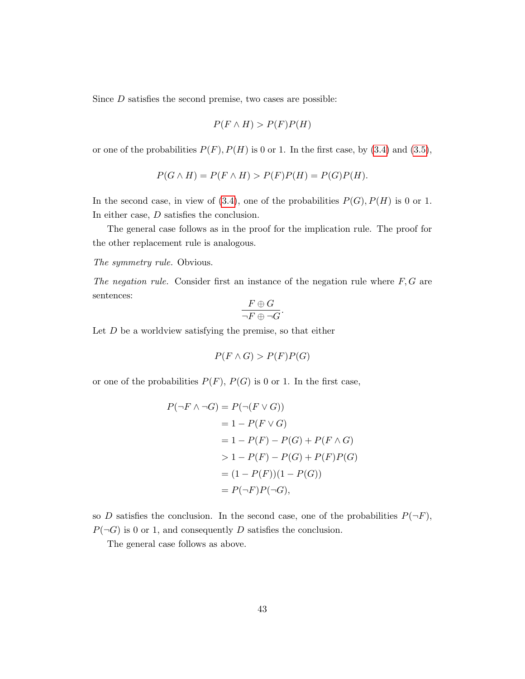Since D satisfies the second premise, two cases are possible:

$$
P(F \wedge H) > P(F)P(H)
$$

or one of the probabilities  $P(F)$ ,  $P(H)$  is 0 or 1. In the first case, by [\(3.4\)](#page-43-2) and [\(3.5\)](#page-43-3),

$$
P(G \wedge H) = P(F \wedge H) > P(F)P(H) = P(G)P(H).
$$

In the second case, in view of [\(3.4\)](#page-43-2), one of the probabilities  $P(G)$ ,  $P(H)$  is 0 or 1. In either case, D satisfies the conclusion.

The general case follows as in the proof for the implication rule. The proof for the other replacement rule is analogous.

The symmetry rule. Obvious.

The negation rule. Consider first an instance of the negation rule where  $F, G$  are sentences:

$$
\frac{F \oplus G}{\neg F \oplus \neg G}
$$

.

Let  $D$  be a worldview satisfying the premise, so that either

$$
P(F \wedge G) > P(F)P(G)
$$

or one of the probabilities  $P(F)$ ,  $P(G)$  is 0 or 1. In the first case,

$$
P(\neg F \land \neg G) = P(\neg (F \lor G))
$$
  
= 1 - P(F \lor G)  
= 1 - P(F) - P(G) + P(F \land G)  
> 1 - P(F) - P(G) + P(F)P(G)  
= (1 - P(F))(1 - P(G))  
= P(\neg F)P(\neg G),

so D satisfies the conclusion. In the second case, one of the probabilities  $P(\neg F)$ ,  $P(\neg G)$  is 0 or 1, and consequently D satisfies the conclusion.

The general case follows as above.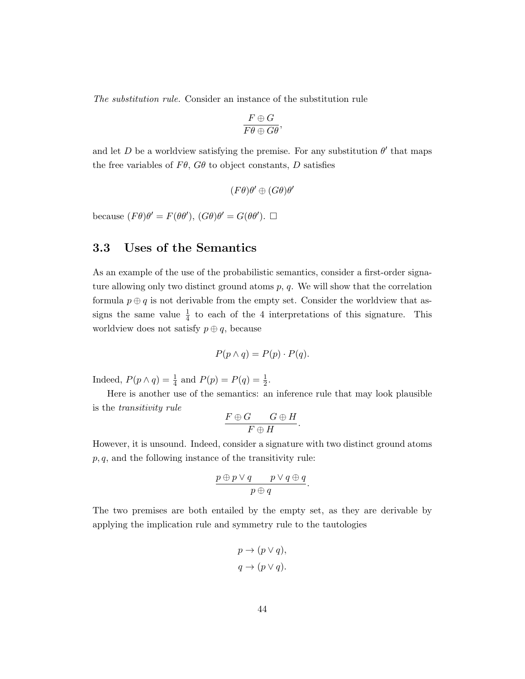The substitution rule. Consider an instance of the substitution rule

$$
\frac{F\oplus G}{F\theta\oplus G\theta},
$$

and let D be a worldview satisfying the premise. For any substitution  $\theta'$  that maps the free variables of  $F\theta$ ,  $G\theta$  to object constants, D satisfies

$$
(F\theta)\theta'\oplus (G\theta)\theta'
$$

because  $(F\theta)\theta' = F(\theta\theta'), (G\theta)\theta' = G(\theta\theta'). \square$ 

## <span id="page-45-0"></span>3.3 Uses of the Semantics

As an example of the use of the probabilistic semantics, consider a first-order signature allowing only two distinct ground atoms  $p$ ,  $q$ . We will show that the correlation formula  $p \oplus q$  is not derivable from the empty set. Consider the worldview that assigns the same value  $\frac{1}{4}$  to each of the 4 interpretations of this signature. This worldview does not satisfy  $p \oplus q$ , because

$$
P(p \wedge q) = P(p) \cdot P(q).
$$

Indeed,  $P(p \wedge q) = \frac{1}{4}$  and  $P(p) = P(q) = \frac{1}{2}$ .

Here is another use of the semantics: an inference rule that may look plausible is the transitivity rule

$$
\frac{F\oplus G\qquad \ G\oplus H}{F\oplus H}.
$$

However, it is unsound. Indeed, consider a signature with two distinct ground atoms  $p, q$ , and the following instance of the transitivity rule:

$$
\frac{p \oplus p \vee q \qquad p \vee q \oplus q}{p \oplus q}.
$$

The two premises are both entailed by the empty set, as they are derivable by applying the implication rule and symmetry rule to the tautologies

$$
p \to (p \lor q),
$$
  

$$
q \to (p \lor q).
$$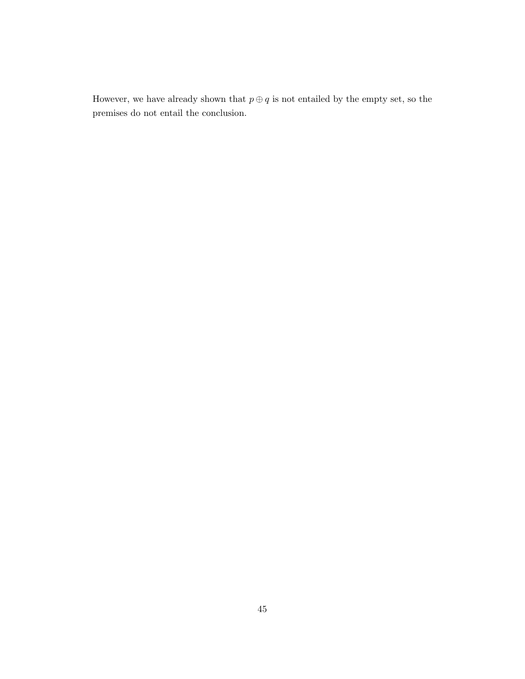However, we have already shown that  $p \oplus q$  is not entailed by the empty set, so the premises do not entail the conclusion.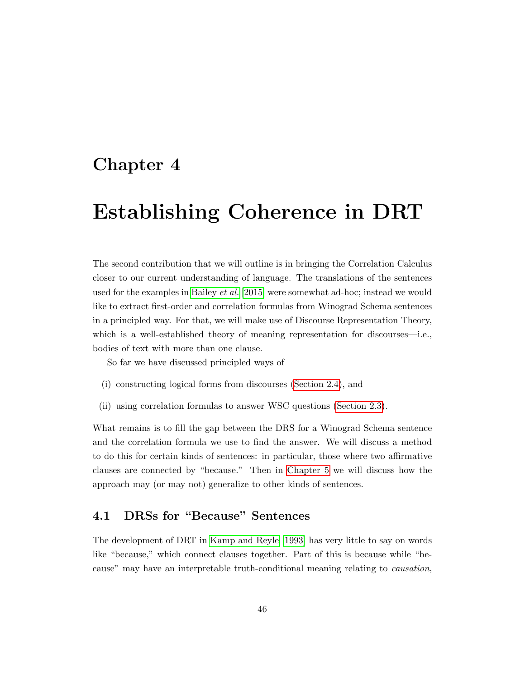## <span id="page-47-0"></span>Chapter 4

# Establishing Coherence in DRT

The second contribution that we will outline is in bringing the Correlation Calculus closer to our current understanding of language. The translations of the sentences used for the examples in [Bailey](#page-67-0) et al. [\[2015\]](#page-67-0) were somewhat ad-hoc; instead we would like to extract first-order and correlation formulas from Winograd Schema sentences in a principled way. For that, we will make use of Discourse Representation Theory, which is a well-established theory of meaning representation for discourses—i.e., bodies of text with more than one clause.

So far we have discussed principled ways of

- (i) constructing logical forms from discourses [\(Section 2.4\)](#page-22-0), and
- (ii) using correlation formulas to answer WSC questions [\(Section 2.3\)](#page-15-0).

What remains is to fill the gap between the DRS for a Winograd Schema sentence and the correlation formula we use to find the answer. We will discuss a method to do this for certain kinds of sentences: in particular, those where two affirmative clauses are connected by "because." Then in [Chapter 5](#page-61-0) we will discuss how the approach may (or may not) generalize to other kinds of sentences.

## <span id="page-47-1"></span>4.1 DRSs for "Because" Sentences

The development of DRT in [Kamp and Reyle \[1993\]](#page-68-7) has very little to say on words like "because," which connect clauses together. Part of this is because while "because" may have an interpretable truth-conditional meaning relating to causation,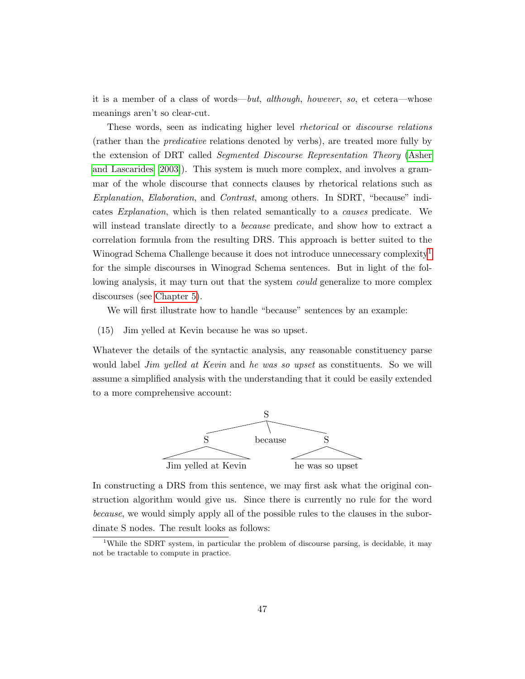it is a member of a class of words—but, although, however, so, et cetera—whose meanings aren't so clear-cut.

These words, seen as indicating higher level rhetorical or discourse relations (rather than the predicative relations denoted by verbs), are treated more fully by the extension of DRT called Segmented Discourse Representation Theory [\(Asher](#page-67-1) [and Lascarides \[2003\]](#page-67-1)). This system is much more complex, and involves a grammar of the whole discourse that connects clauses by rhetorical relations such as Explanation, Elaboration, and Contrast, among others. In SDRT, "because" indicates Explanation, which is then related semantically to a causes predicate. We will instead translate directly to a *because* predicate, and show how to extract a correlation formula from the resulting DRS. This approach is better suited to the Winograd Schema Challenge because it does not introduce unnecessary complexity<sup>[1](#page-48-0)</sup> for the simple discourses in Winograd Schema sentences. But in light of the following analysis, it may turn out that the system *could* generalize to more complex discourses (see [Chapter 5\)](#page-61-0).

We will first illustrate how to handle "because" sentences by an example:

(15) Jim yelled at Kevin because he was so upset.

Whatever the details of the syntactic analysis, any reasonable constituency parse would label *Jim yelled at Kevin* and *he was so upset* as constituents. So we will assume a simplified analysis with the understanding that it could be easily extended to a more comprehensive account:



In constructing a DRS from this sentence, we may first ask what the original construction algorithm would give us. Since there is currently no rule for the word because, we would simply apply all of the possible rules to the clauses in the subordinate S nodes. The result looks as follows:

<span id="page-48-0"></span><sup>&</sup>lt;sup>1</sup>While the SDRT system, in particular the problem of discourse parsing, is decidable, it may not be tractable to compute in practice.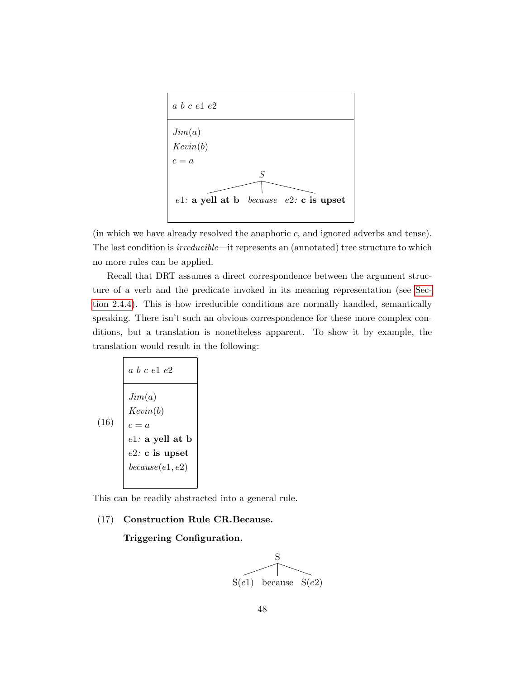

(in which we have already resolved the anaphoric c, and ignored adverbs and tense). The last condition is *irreducible*—it represents an (annotated) tree structure to which no more rules can be applied.

Recall that DRT assumes a direct correspondence between the argument structure of a verb and the predicate invoked in its meaning representation (see [Sec](#page-28-1)[tion 2.4.4\)](#page-28-1). This is how irreducible conditions are normally handled, semantically speaking. There isn't such an obvious correspondence for these more complex conditions, but a translation is nonetheless apparent. To show it by example, the translation would result in the following:

<span id="page-49-0"></span>

| a $b c e 1 e 2$    |
|--------------------|
| $Jim(a)$           |
| $Kevin(b)$         |
| $c = a$            |
| $e1: a well at b$  |
| $e2: c$ is upset   |
| $because (e1, e2)$ |

This can be readily abstracted into a general rule.

#### (17) Construction Rule CR.Because.

Triggering Configuration.

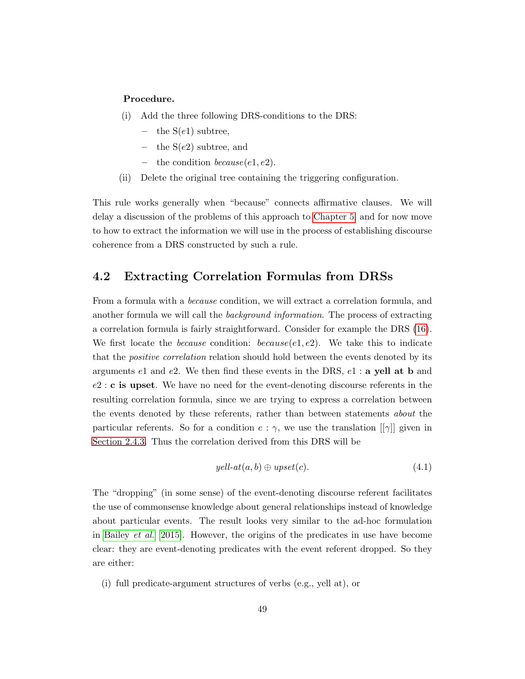#### Procedure.

- (i) Add the three following DRS-conditions to the DRS:
	- the  $S(e1)$  subtree,
	- the  $S(e2)$  subtree, and
	- the condition  $because(e1, e2)$ .
- <span id="page-50-2"></span>(ii) Delete the original tree containing the triggering configuration.

This rule works generally when "because" connects affirmative clauses. We will delay a discussion of the problems of this approach to [Chapter 5,](#page-61-0) and for now move to how to extract the information we will use in the process of establishing discourse coherence from a DRS constructed by such a rule.

## <span id="page-50-0"></span>4.2 Extracting Correlation Formulas from DRSs

From a formula with a *because* condition, we will extract a correlation formula, and another formula we will call the *background information*. The process of extracting a correlation formula is fairly straightforward. Consider for example the DRS [\(16\)](#page-49-0). We first locate the *because* condition: *because*( $e1, e2$ ). We take this to indicate that the *positive correlation* relation should hold between the events denoted by its arguments e1 and e2. We then find these events in the DRS,  $e_1$ : a yell at b and  $e2$ : c is upset. We have no need for the event-denoting discourse referents in the resulting correlation formula, since we are trying to express a correlation between the events denoted by these referents, rather than between statements about the particular referents. So for a condition  $e : \gamma$ , we use the translation  $\lceil \gamma \rceil$  given in [Section 2.4.3.](#page-28-0) Thus the correlation derived from this DRS will be

<span id="page-50-1"></span>
$$
yell-at(a,b) \oplus upset(c). \tag{4.1}
$$

The "dropping" (in some sense) of the event-denoting discourse referent facilitates the use of commonsense knowledge about general relationships instead of knowledge about particular events. The result looks very similar to the ad-hoc formulation in [Bailey](#page-67-0) et al. [\[2015\]](#page-67-0). However, the origins of the predicates in use have become clear: they are event-denoting predicates with the event referent dropped. So they are either:

(i) full predicate-argument structures of verbs (e.g., yell at), or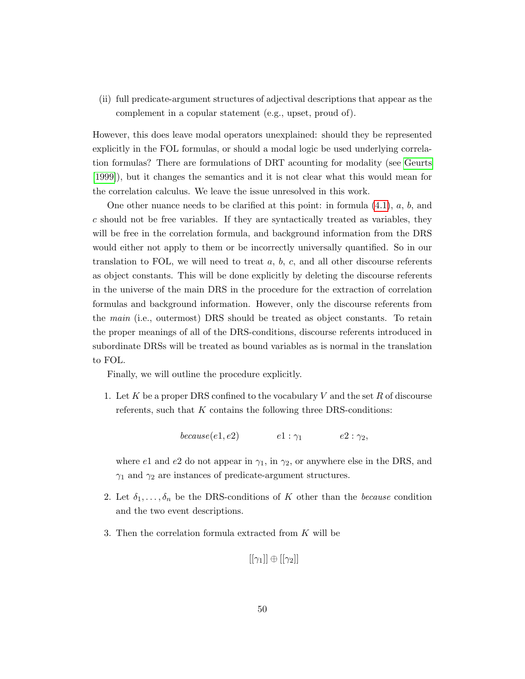(ii) full predicate-argument structures of adjectival descriptions that appear as the complement in a copular statement (e.g., upset, proud of).

However, this does leave modal operators unexplained: should they be represented explicitly in the FOL formulas, or should a modal logic be used underlying correlation formulas? There are formulations of DRT acounting for modality (see [Geurts](#page-68-13) [\[1999\]](#page-68-13)), but it changes the semantics and it is not clear what this would mean for the correlation calculus. We leave the issue unresolved in this work.

One other nuance needs to be clarified at this point: in formula  $(4.1)$ , a, b, and c should not be free variables. If they are syntactically treated as variables, they will be free in the correlation formula, and background information from the DRS would either not apply to them or be incorrectly universally quantified. So in our translation to FOL, we will need to treat  $a, b, c$ , and all other discourse referents as object constants. This will be done explicitly by deleting the discourse referents in the universe of the main DRS in the procedure for the extraction of correlation formulas and background information. However, only the discourse referents from the main (i.e., outermost) DRS should be treated as object constants. To retain the proper meanings of all of the DRS-conditions, discourse referents introduced in subordinate DRSs will be treated as bound variables as is normal in the translation to FOL.

Finally, we will outline the procedure explicitly.

1. Let  $K$  be a proper DRS confined to the vocabulary  $V$  and the set  $R$  of discourse referents, such that  $K$  contains the following three DRS-conditions:

because(e1, e2)  $e1 : \gamma_1$   $e2 : \gamma_2$ ,

where e1 and e2 do not appear in  $\gamma_1$ , in  $\gamma_2$ , or anywhere else in the DRS, and  $\gamma_1$  and  $\gamma_2$  are instances of predicate-argument structures.

- 2. Let  $\delta_1, \ldots, \delta_n$  be the DRS-conditions of K other than the *because* condition and the two event descriptions.
- 3. Then the correlation formula extracted from K will be

```
[[\gamma_1]] \oplus [[\gamma_2]]
```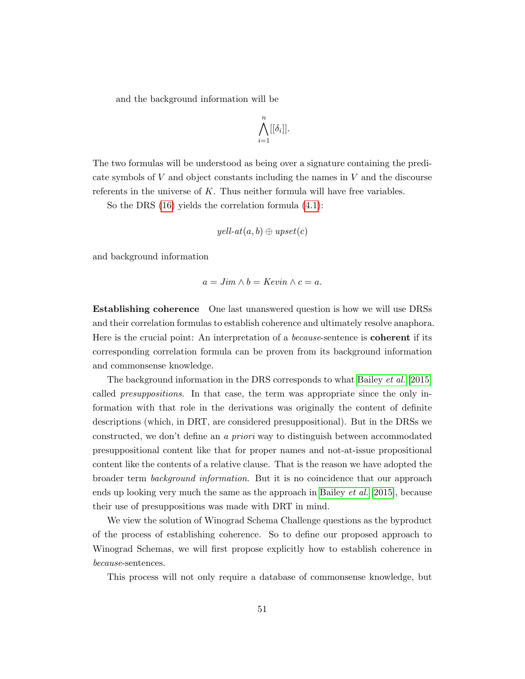and the background information will be

$$
\bigwedge_{i=1}^n [[\delta_i]].
$$

The two formulas will be understood as being over a signature containing the predicate symbols of V and object constants including the names in V and the discourse referents in the universe of  $K$ . Thus neither formula will have free variables.

So the DRS [\(16\)](#page-49-0) yields the correlation formula [\(4.1\)](#page-50-1):

$$
yell-at(a,b) \oplus upset(c)
$$

and background information

$$
a = Jim \wedge b = Kevin \wedge c = a.
$$

Establishing coherence One last unanswered question is how we will use DRSs and their correlation formulas to establish coherence and ultimately resolve anaphora. Here is the crucial point: An interpretation of a *because*-sentence is **coherent** if its corresponding correlation formula can be proven from its background information and commonsense knowledge.

The background information in the DRS corresponds to what [Bailey](#page-67-0) et al. [\[2015\]](#page-67-0) called presuppositions. In that case, the term was appropriate since the only information with that role in the derivations was originally the content of definite descriptions (which, in DRT, are considered presuppositional). But in the DRSs we constructed, we don't define an a priori way to distinguish between accommodated presuppositional content like that for proper names and not-at-issue propositional content like the contents of a relative clause. That is the reason we have adopted the broader term background information. But it is no coincidence that our approach ends up looking very much the same as the approach in [Bailey](#page-67-0) et al. [\[2015\]](#page-67-0), because their use of presuppositions was made with DRT in mind.

We view the solution of Winograd Schema Challenge questions as the byproduct of the process of establishing coherence. So to define our proposed approach to Winograd Schemas, we will first propose explicitly how to establish coherence in because-sentences.

This process will not only require a database of commonsense knowledge, but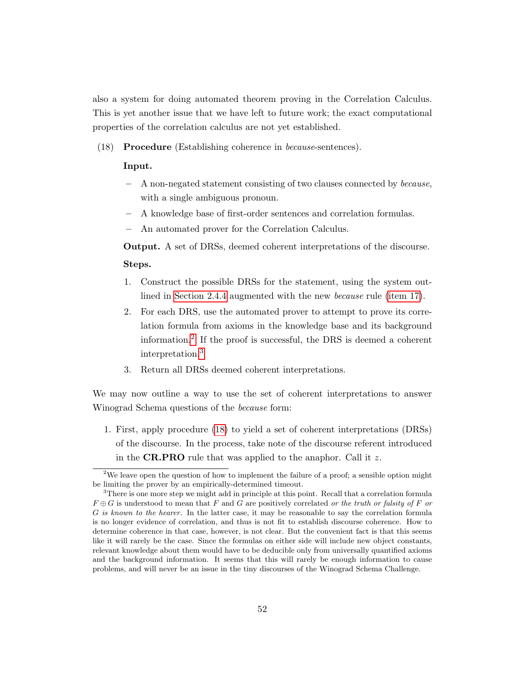also a system for doing automated theorem proving in the Correlation Calculus. This is yet another issue that we have left to future work; the exact computational properties of the correlation calculus are not yet established.

(18) Procedure (Establishing coherence in because-sentences).

#### Input.

- A non-negated statement consisting of two clauses connected by because, with a single ambiguous pronoun.
- A knowledge base of first-order sentences and correlation formulas.
- An automated prover for the Correlation Calculus.

Output. A set of DRSs, deemed coherent interpretations of the discourse. Steps.

- 1. Construct the possible DRSs for the statement, using the system outlined in [Section 2.4.4](#page-28-1) augmented with the new because rule [\(item 17\)](#page-50-2).
- 2. For each DRS, use the automated prover to attempt to prove its correlation formula from axioms in the knowledge base and its background information.[2](#page-53-0) If the proof is successful, the DRS is deemed a coherent interpretation.[3](#page-53-1)
- 3. Return all DRSs deemed coherent interpretations.

<span id="page-53-2"></span>We may now outline a way to use the set of coherent interpretations to answer Winograd Schema questions of the because form:

1. First, apply procedure [\(18\)](#page-53-2) to yield a set of coherent interpretations (DRSs) of the discourse. In the process, take note of the discourse referent introduced in the **CR.PRO** rule that was applied to the anaphor. Call it  $z$ .

<span id="page-53-0"></span><sup>&</sup>lt;sup>2</sup>We leave open the question of how to implement the failure of a proof; a sensible option might be limiting the prover by an empirically-determined timeout.

<span id="page-53-1"></span><sup>&</sup>lt;sup>3</sup>There is one more step we might add in principle at this point. Recall that a correlation formula  $F \oplus G$  is understood to mean that F and G are positively correlated or the truth or falsity of F or G is known to the hearer. In the latter case, it may be reasonable to say the correlation formula is no longer evidence of correlation, and thus is not fit to establish discourse coherence. How to determine coherence in that case, however, is not clear. But the convenient fact is that this seems like it will rarely be the case. Since the formulas on either side will include new object constants, relevant knowledge about them would have to be deducible only from universally quantified axioms and the background information. It seems that this will rarely be enough information to cause problems, and will never be an issue in the tiny discourses of the Winograd Schema Challenge.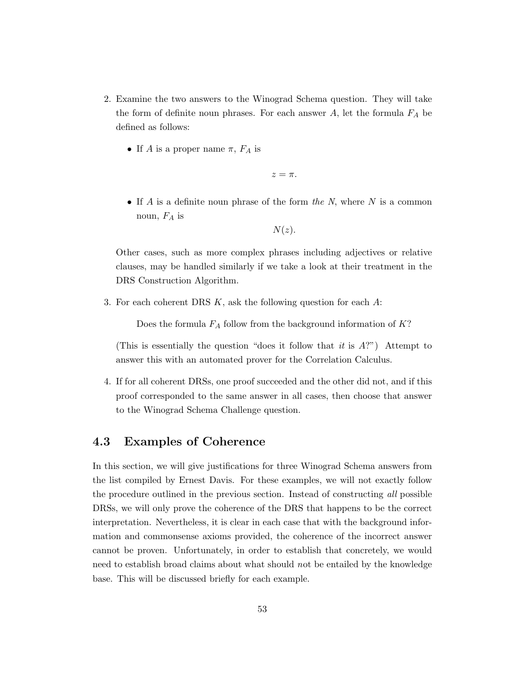- 2. Examine the two answers to the Winograd Schema question. They will take the form of definite noun phrases. For each answer  $A$ , let the formula  $F_A$  be defined as follows:
	- If A is a proper name  $\pi$ ,  $F_A$  is

 $z = \pi$ .

• If A is a definite noun phrase of the form the N, where  $N$  is a common noun,  $F_A$  is

 $N(z)$ .

Other cases, such as more complex phrases including adjectives or relative clauses, may be handled similarly if we take a look at their treatment in the DRS Construction Algorithm.

3. For each coherent DRS  $K$ , ask the following question for each  $A$ :

Does the formula  $F_A$  follow from the background information of  $K$ ?

(This is essentially the question "does it follow that it is  $A$ ?") Attempt to answer this with an automated prover for the Correlation Calculus.

4. If for all coherent DRSs, one proof succeeded and the other did not, and if this proof corresponded to the same answer in all cases, then choose that answer to the Winograd Schema Challenge question.

## <span id="page-54-0"></span>4.3 Examples of Coherence

In this section, we will give justifications for three Winograd Schema answers from the list compiled by Ernest Davis. For these examples, we will not exactly follow the procedure outlined in the previous section. Instead of constructing all possible DRSs, we will only prove the coherence of the DRS that happens to be the correct interpretation. Nevertheless, it is clear in each case that with the background information and commonsense axioms provided, the coherence of the incorrect answer cannot be proven. Unfortunately, in order to establish that concretely, we would need to establish broad claims about what should not be entailed by the knowledge base. This will be discussed briefly for each example.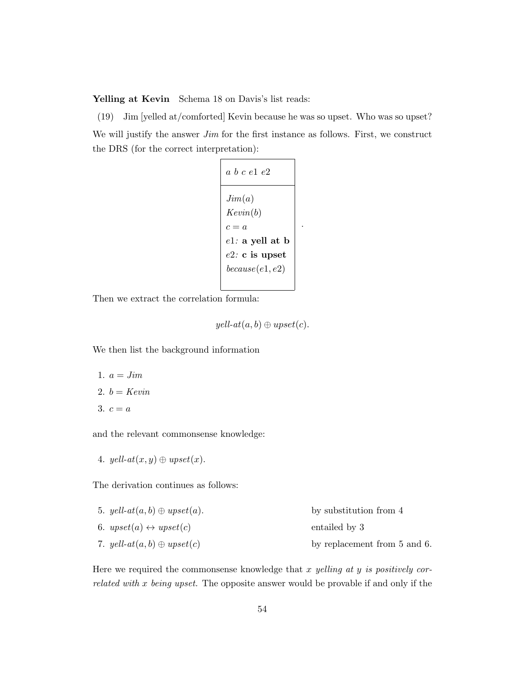Yelling at Kevin Schema 18 on Davis's list reads:

(19) Jim [yelled at/comforted] Kevin because he was so upset. Who was so upset? We will justify the answer *Jim* for the first instance as follows. First, we construct the DRS (for the correct interpretation):

| a b c e l e $2$                      |
|--------------------------------------|
| Jim(a)<br>Kevin(b)                   |
| $c = a$<br>$e1:$ a yell at b         |
| $e2:$ c is upset<br>because (e1, e2) |
|                                      |

.

Then we extract the correlation formula:

 $yell-at(a, b) \oplus upset(c).$ 

We then list the background information

1. 
$$
a = Jim
$$
\n2.  $b = Kevin$ \n3.  $c = a$ 

and the relevant commonsense knowledge:

4. yell-at $(x, y) \oplus *upset*(x)$ .

The derivation continues as follows:

| 5. yell- $at(a, b) \oplus upset(a)$ .      | by substitution from 4       |
|--------------------------------------------|------------------------------|
| 6. $upset(a) \leftrightarrow upset(c)$     | entailed by 3                |
| 7. yell- $at(a,b)\oplus \mathit{upset}(c)$ | by replacement from 5 and 6. |

Here we required the commonsense knowledge that  $x$  yelling at  $y$  is positively correlated with x being upset. The opposite answer would be provable if and only if the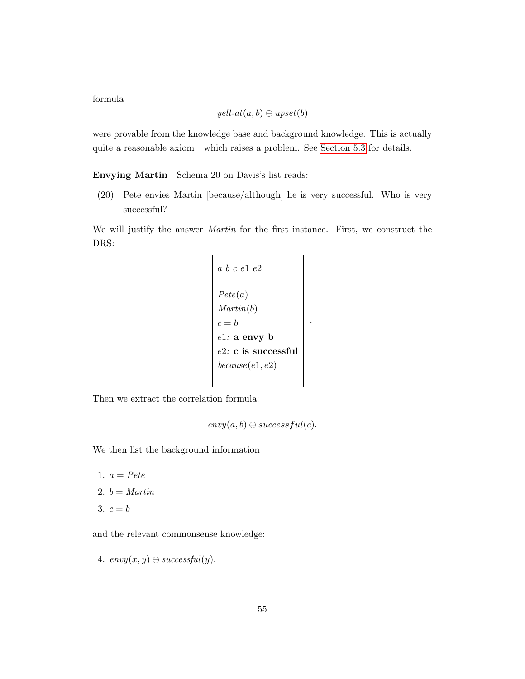formula

$$
yell-at(a,b) \oplus upset(b)
$$

were provable from the knowledge base and background knowledge. This is actually quite a reasonable axiom—which raises a problem. See [Section 5.3](#page-64-0) for details.

Envying Martin Schema 20 on Davis's list reads:

(20) Pete envies Martin [because/although] he is very successful. Who is very successful?

We will justify the answer Martin for the first instance. First, we construct the DRS:

| a b c e 1 e 2                                       |
|-----------------------------------------------------|
| Pete(a)<br>Martin(b)                                |
| $c = h$<br>$e1:$ a envy b<br>$e2$ : c is successful |
| because (e1, e2)                                    |

.

Then we extract the correlation formula:

 $envy(a, b) \oplus successful(c).$ 

We then list the background information

1.  $a = Pete$ 2.  $b = Martin$ 3.  $c = b$ 

and the relevant commonsense knowledge:

4.  $envy(x, y) \oplus successful(y)$ .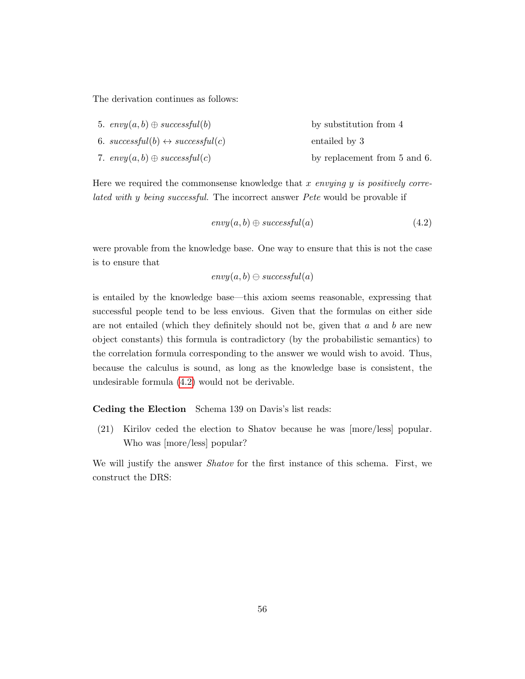The derivation continues as follows:

| 5. $envy(a, b) \oplus successful(b)$             | by substitution from 4       |
|--------------------------------------------------|------------------------------|
| 6. successful(b) $\leftrightarrow$ successful(c) | entailed by 3                |
| 7. $envy(a, b) \oplus successful(c)$             | by replacement from 5 and 6. |

Here we required the commonsense knowledge that  $x$  envying  $y$  is positively correlated with y being successful. The incorrect answer Pete would be provable if

<span id="page-57-0"></span>
$$
envy(a, b) \oplus successful(a)
$$
 (4.2)

were provable from the knowledge base. One way to ensure that this is not the case is to ensure that

$$
envy(a, b) \ominus successful(a)
$$

is entailed by the knowledge base—this axiom seems reasonable, expressing that successful people tend to be less envious. Given that the formulas on either side are not entailed (which they definitely should not be, given that  $a$  and  $b$  are new object constants) this formula is contradictory (by the probabilistic semantics) to the correlation formula corresponding to the answer we would wish to avoid. Thus, because the calculus is sound, as long as the knowledge base is consistent, the undesirable formula [\(4.2\)](#page-57-0) would not be derivable.

#### Ceding the Election Schema 139 on Davis's list reads:

(21) Kirilov ceded the election to Shatov because he was [more/less] popular. Who was [more/less] popular?

We will justify the answer *Shatov* for the first instance of this schema. First, we construct the DRS: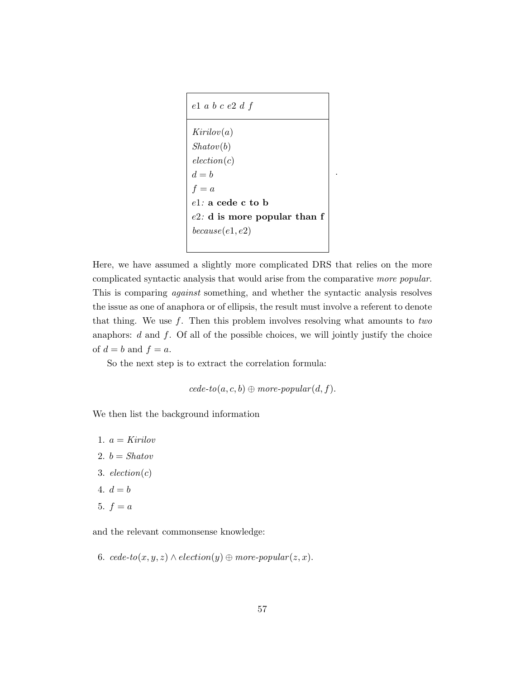

Here, we have assumed a slightly more complicated DRS that relies on the more complicated syntactic analysis that would arise from the comparative more popular. This is comparing against something, and whether the syntactic analysis resolves the issue as one of anaphora or of ellipsis, the result must involve a referent to denote that thing. We use  $f$ . Then this problem involves resolving what amounts to two anaphors:  $d$  and  $f$ . Of all of the possible choices, we will jointly justify the choice of  $d = b$  and  $f = a$ .

So the next step is to extract the correlation formula:

 $cede\text{-}to(a, c, b) \oplus more\text{-}popular(d, f).$ 

We then list the background information

- 1.  $a = Kirilov$
- 2.  $b = Shatov$
- 3.  $electron(c)$
- 4.  $d = b$
- 5.  $f = a$

and the relevant commonsense knowledge:

6. cede-to $(x, y, z) \wedge \text{electron}(y) \oplus \text{more-popular}(z, x)$ .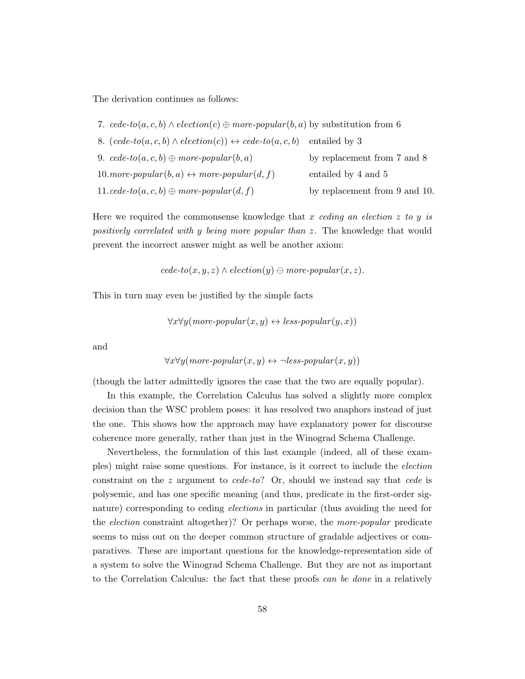The derivation continues as follows:

| 7. cede-to $(a, c, b) \wedge \text{electron}(c) \oplus \text{more-popular}(b, a)$ by substitution from 6 |                               |
|----------------------------------------------------------------------------------------------------------|-------------------------------|
| 8. $(cede-to(a, c, b) \wedge election(c)) \leftrightarrow cede-to(a, c, b)$                              | entailed by 3                 |
| 9. $\text{ced}e\text{-}to(a,c,b)\oplus \text{more-popular}(b,a)$                                         | by replacement from 7 and 8   |
| 10. more-popular $(b, a) \leftrightarrow more-popular(d, f)$                                             | entailed by 4 and 5           |
| 11.cede-to $(a, c, b) \oplus more\text{-}popular(d, f)$                                                  | by replacement from 9 and 10. |

Here we required the commonsense knowledge that  $x$  ceding an election  $z$  to  $y$  is positively correlated with y being more popular than z. The knowledge that would prevent the incorrect answer might as well be another axiom:

 $cede\text{-}to(x, y, z) \wedge election(y) \ominus more\text{-}popular(x, z).$ 

This in turn may even be justified by the simple facts

$$
\forall x \forall y (more-popular(x, y) \leftrightarrow less-popular(y, x))
$$

and

$$
\forall x \forall y (more-popular(x, y) \leftrightarrow \neg less-popular(x, y))
$$

(though the latter admittedly ignores the case that the two are equally popular).

In this example, the Correlation Calculus has solved a slightly more complex decision than the WSC problem poses: it has resolved two anaphors instead of just the one. This shows how the approach may have explanatory power for discourse coherence more generally, rather than just in the Winograd Schema Challenge.

Nevertheless, the formulation of this last example (indeed, all of these examples) might raise some questions. For instance, is it correct to include the election constraint on the  $z$  argument to cede-to? Or, should we instead say that cede is polysemic, and has one specific meaning (and thus, predicate in the first-order signature) corresponding to ceding *elections* in particular (thus avoiding the need for the *election* constraint altogether)? Or perhaps worse, the *more-popular* predicate seems to miss out on the deeper common structure of gradable adjectives or comparatives. These are important questions for the knowledge-representation side of a system to solve the Winograd Schema Challenge. But they are not as important to the Correlation Calculus: the fact that these proofs *can be done* in a relatively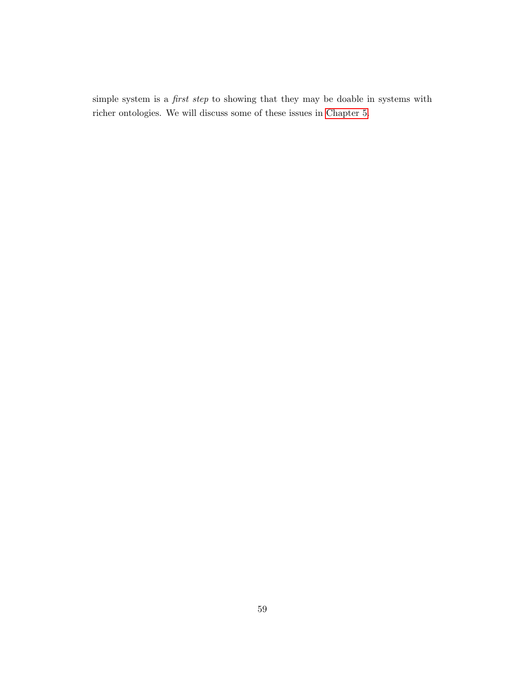simple system is a *first step* to showing that they may be doable in systems with richer ontologies. We will discuss some of these issues in [Chapter 5.](#page-61-0)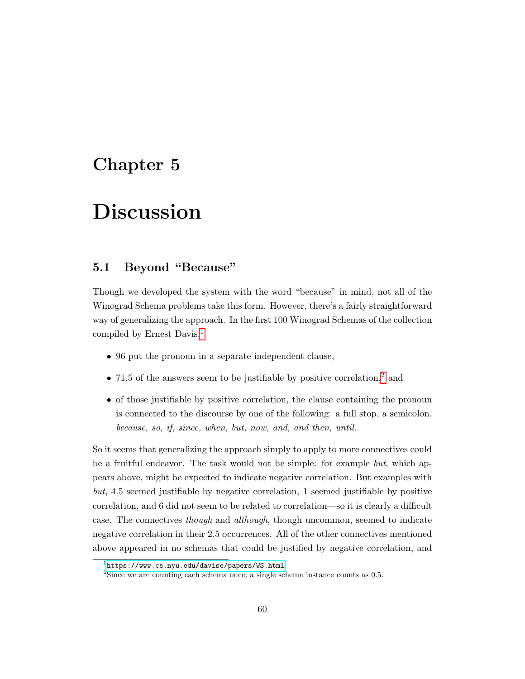## <span id="page-61-0"></span>Chapter 5

# Discussion

## <span id="page-61-1"></span>5.1 Beyond "Because"

Though we developed the system with the word "because" in mind, not all of the Winograd Schema problems take this form. However, there's a fairly straightforward way of generalizing the approach. In the first 100 Winograd Schemas of the collection compiled by Ernest Davis, $<sup>1</sup>$  $<sup>1</sup>$  $<sup>1</sup>$ </sup>

- 96 put the pronoun in a separate independent clause,
- 71.5 of the answers seem to be justifiable by positive correlation,<sup>[2](#page-61-3)</sup> and
- of those justifiable by positive correlation, the clause containing the pronoun is connected to the discourse by one of the following: a full stop, a semicolon, because, so, if, since, when, but, now, and, and then, until.

So it seems that generalizing the approach simply to apply to more connectives could be a fruitful endeavor. The task would not be simple: for example but, which appears above, might be expected to indicate negative correlation. But examples with but, 4.5 seemed justifiable by negative correlation, 1 seemed justifiable by positive correlation, and 6 did not seem to be related to correlation—so it is clearly a difficult case. The connectives though and although, though uncommon, seemed to indicate negative correlation in their 2.5 occurrences. All of the other connectives mentioned above appeared in no schemas that could be justified by negative correlation, and

<span id="page-61-2"></span> $^1$ <https://www.cs.nyu.edu/davise/papers/WS.html>

<span id="page-61-3"></span><sup>&</sup>lt;sup>2</sup>Since we are counting each schema once, a single schema instance counts as 0.5.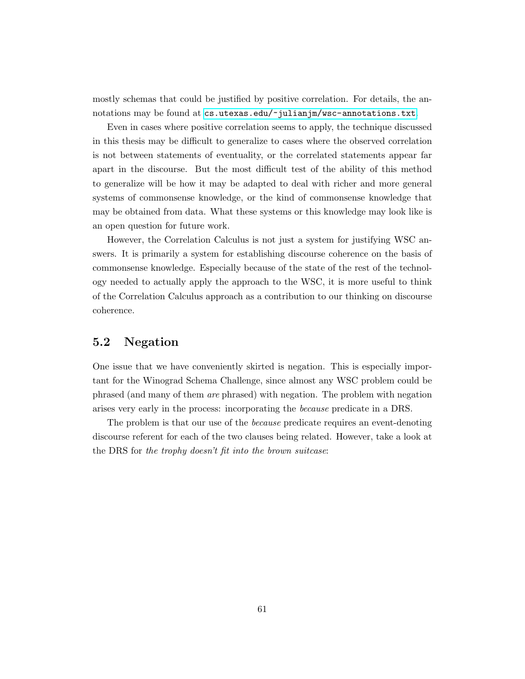mostly schemas that could be justified by positive correlation. For details, the annotations may be found at <cs.utexas.edu/~julianjm/wsc-annotations.txt>.

Even in cases where positive correlation seems to apply, the technique discussed in this thesis may be difficult to generalize to cases where the observed correlation is not between statements of eventuality, or the correlated statements appear far apart in the discourse. But the most difficult test of the ability of this method to generalize will be how it may be adapted to deal with richer and more general systems of commonsense knowledge, or the kind of commonsense knowledge that may be obtained from data. What these systems or this knowledge may look like is an open question for future work.

However, the Correlation Calculus is not just a system for justifying WSC answers. It is primarily a system for establishing discourse coherence on the basis of commonsense knowledge. Especially because of the state of the rest of the technology needed to actually apply the approach to the WSC, it is more useful to think of the Correlation Calculus approach as a contribution to our thinking on discourse coherence.

## <span id="page-62-0"></span>5.2 Negation

One issue that we have conveniently skirted is negation. This is especially important for the Winograd Schema Challenge, since almost any WSC problem could be phrased (and many of them are phrased) with negation. The problem with negation arises very early in the process: incorporating the because predicate in a DRS.

The problem is that our use of the because predicate requires an event-denoting discourse referent for each of the two clauses being related. However, take a look at the DRS for the trophy doesn't fit into the brown suitcase: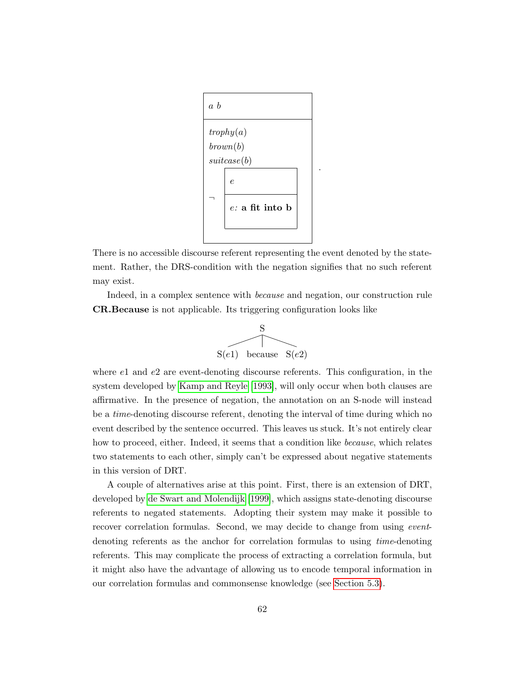

There is no accessible discourse referent representing the event denoted by the statement. Rather, the DRS-condition with the negation signifies that no such referent may exist.

Indeed, in a complex sentence with because and negation, our construction rule CR.Because is not applicable. Its triggering configuration looks like



where  $e1$  and  $e2$  are event-denoting discourse referents. This configuration, in the system developed by [Kamp and Reyle \[1993\]](#page-68-7), will only occur when both clauses are affirmative. In the presence of negation, the annotation on an S-node will instead be a time-denoting discourse referent, denoting the interval of time during which no event described by the sentence occurred. This leaves us stuck. It's not entirely clear how to proceed, either. Indeed, it seems that a condition like *because*, which relates two statements to each other, simply can't be expressed about negative statements in this version of DRT.

A couple of alternatives arise at this point. First, there is an extension of DRT, developed by [de Swart and Molendijk \[1999\]](#page-67-8), which assigns state-denoting discourse referents to negated statements. Adopting their system may make it possible to recover correlation formulas. Second, we may decide to change from using *event*denoting referents as the anchor for correlation formulas to using time-denoting referents. This may complicate the process of extracting a correlation formula, but it might also have the advantage of allowing us to encode temporal information in our correlation formulas and commonsense knowledge (see [Section 5.3\)](#page-64-0).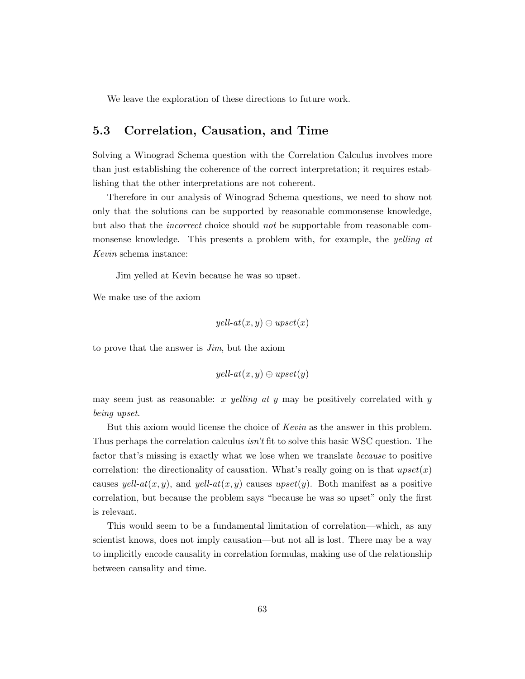We leave the exploration of these directions to future work.

## <span id="page-64-0"></span>5.3 Correlation, Causation, and Time

Solving a Winograd Schema question with the Correlation Calculus involves more than just establishing the coherence of the correct interpretation; it requires establishing that the other interpretations are not coherent.

Therefore in our analysis of Winograd Schema questions, we need to show not only that the solutions can be supported by reasonable commonsense knowledge, but also that the *incorrect* choice should not be supportable from reasonable commonsense knowledge. This presents a problem with, for example, the *yelling at* Kevin schema instance:

Jim yelled at Kevin because he was so upset.

We make use of the axiom

$$
yell-at(x,y)\oplus upset(x)
$$

to prove that the answer is Jim, but the axiom

$$
yell-at(x,y) \oplus upset(y)
$$

may seem just as reasonable: x yelling at y may be positively correlated with y being upset.

But this axiom would license the choice of Kevin as the answer in this problem. Thus perhaps the correlation calculus isn't fit to solve this basic WSC question. The factor that's missing is exactly what we lose when we translate *because* to positive correlation: the directionality of causation. What's really going on is that  $upset(x)$ causes yell-at $(x, y)$ , and yell-at $(x, y)$  causes upset $(y)$ . Both manifest as a positive correlation, but because the problem says "because he was so upset" only the first is relevant.

This would seem to be a fundamental limitation of correlation—which, as any scientist knows, does not imply causation—but not all is lost. There may be a way to implicitly encode causality in correlation formulas, making use of the relationship between causality and time.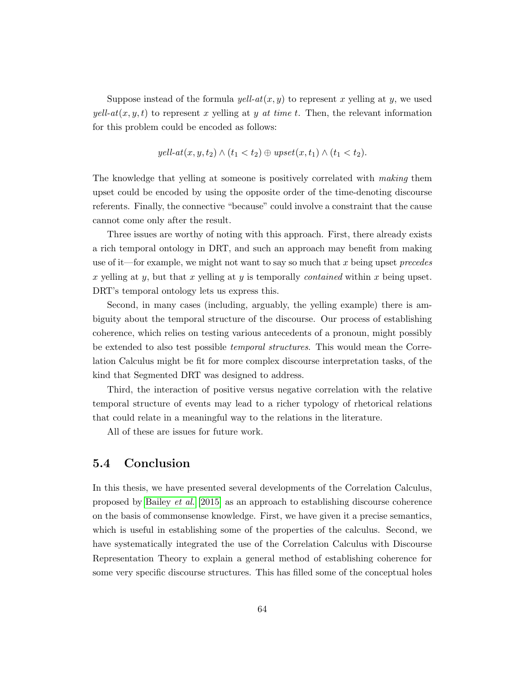Suppose instead of the formula  $yell-at(x, y)$  to represent x yelling at y, we used  $yell-at(x, y, t)$  to represent x yelling at y at time t. Then, the relevant information for this problem could be encoded as follows:

$$
yell-at(x, y, t_2) \wedge (t_1 < t_2) \oplus upset(x, t_1) \wedge (t_1 < t_2).
$$

The knowledge that yelling at someone is positively correlated with making them upset could be encoded by using the opposite order of the time-denoting discourse referents. Finally, the connective "because" could involve a constraint that the cause cannot come only after the result.

Three issues are worthy of noting with this approach. First, there already exists a rich temporal ontology in DRT, and such an approach may benefit from making use of it—for example, we might not want to say so much that x being upset precedes x yelling at y, but that x yelling at y is temporally *contained* within x being upset. DRT's temporal ontology lets us express this.

Second, in many cases (including, arguably, the yelling example) there is ambiguity about the temporal structure of the discourse. Our process of establishing coherence, which relies on testing various antecedents of a pronoun, might possibly be extended to also test possible temporal structures. This would mean the Correlation Calculus might be fit for more complex discourse interpretation tasks, of the kind that Segmented DRT was designed to address.

Third, the interaction of positive versus negative correlation with the relative temporal structure of events may lead to a richer typology of rhetorical relations that could relate in a meaningful way to the relations in the literature.

All of these are issues for future work.

### <span id="page-65-0"></span>5.4 Conclusion

In this thesis, we have presented several developments of the Correlation Calculus, proposed by [Bailey](#page-67-0) et al. [\[2015\]](#page-67-0) as an approach to establishing discourse coherence on the basis of commonsense knowledge. First, we have given it a precise semantics, which is useful in establishing some of the properties of the calculus. Second, we have systematically integrated the use of the Correlation Calculus with Discourse Representation Theory to explain a general method of establishing coherence for some very specific discourse structures. This has filled some of the conceptual holes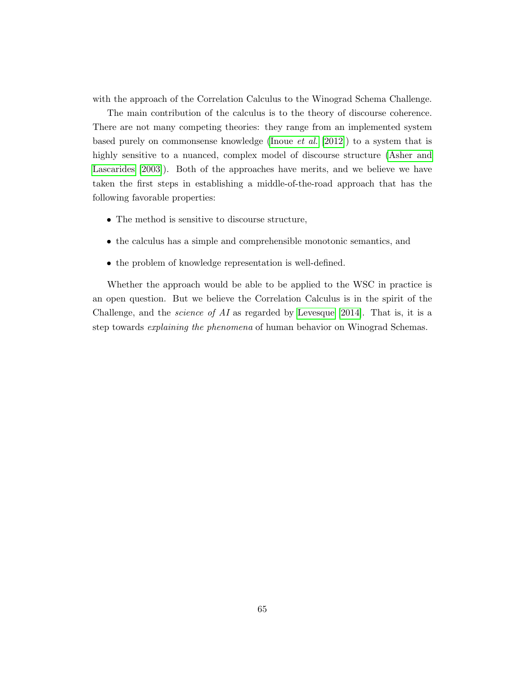with the approach of the Correlation Calculus to the Winograd Schema Challenge.

The main contribution of the calculus is to the theory of discourse coherence. There are not many competing theories: they range from an implemented system based purely on commonsense knowledge [\(Inoue](#page-68-5) et al. [\[2012\]](#page-68-5)) to a system that is highly sensitive to a nuanced, complex model of discourse structure [\(Asher and](#page-67-1) [Lascarides \[2003\]](#page-67-1)). Both of the approaches have merits, and we believe we have taken the first steps in establishing a middle-of-the-road approach that has the following favorable properties:

- The method is sensitive to discourse structure,
- the calculus has a simple and comprehensible monotonic semantics, and
- the problem of knowledge representation is well-defined.

Whether the approach would be able to be applied to the WSC in practice is an open question. But we believe the Correlation Calculus is in the spirit of the Challenge, and the *science of AI* as regarded by [Levesque \[2014\]](#page-69-3). That is, it is a step towards *explaining the phenomena* of human behavior on Winograd Schemas.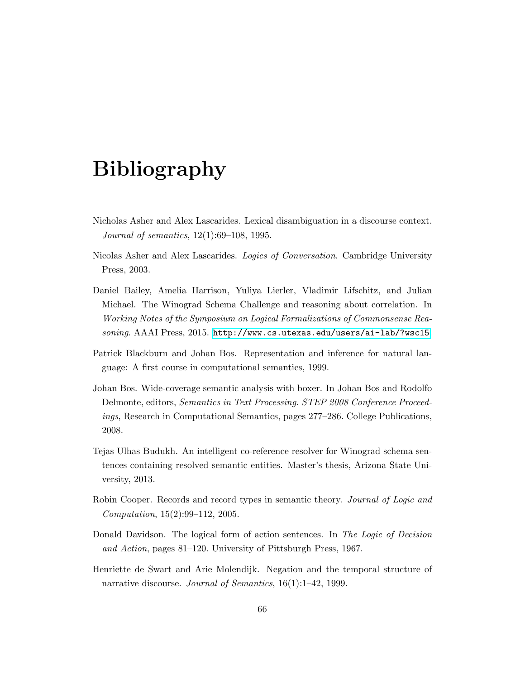# Bibliography

- <span id="page-67-2"></span>Nicholas Asher and Alex Lascarides. Lexical disambiguation in a discourse context. Journal of semantics, 12(1):69–108, 1995.
- <span id="page-67-1"></span>Nicolas Asher and Alex Lascarides. Logics of Conversation. Cambridge University Press, 2003.
- <span id="page-67-0"></span>Daniel Bailey, Amelia Harrison, Yuliya Lierler, Vladimir Lifschitz, and Julian Michael. The Winograd Schema Challenge and reasoning about correlation. In Working Notes of the Symposium on Logical Formalizations of Commonsense Reasoning. AAAI Press, 2015. <http://www.cs.utexas.edu/users/ai-lab/?wsc15>.
- <span id="page-67-6"></span>Patrick Blackburn and Johan Bos. Representation and inference for natural language: A first course in computational semantics, 1999.
- <span id="page-67-4"></span>Johan Bos. Wide-coverage semantic analysis with boxer. In Johan Bos and Rodolfo Delmonte, editors, Semantics in Text Processing. STEP 2008 Conference Proceedings, Research in Computational Semantics, pages 277–286. College Publications, 2008.
- <span id="page-67-3"></span>Tejas Ulhas Budukh. An intelligent co-reference resolver for Winograd schema sentences containing resolved semantic entities. Master's thesis, Arizona State University, 2013.
- <span id="page-67-5"></span>Robin Cooper. Records and record types in semantic theory. Journal of Logic and Computation, 15(2):99–112, 2005.
- <span id="page-67-7"></span>Donald Davidson. The logical form of action sentences. In The Logic of Decision and Action, pages 81–120. University of Pittsburgh Press, 1967.
- <span id="page-67-8"></span>Henriette de Swart and Arie Molendijk. Negation and the temporal structure of narrative discourse. *Journal of Semantics*, 16(1):1–42, 1999.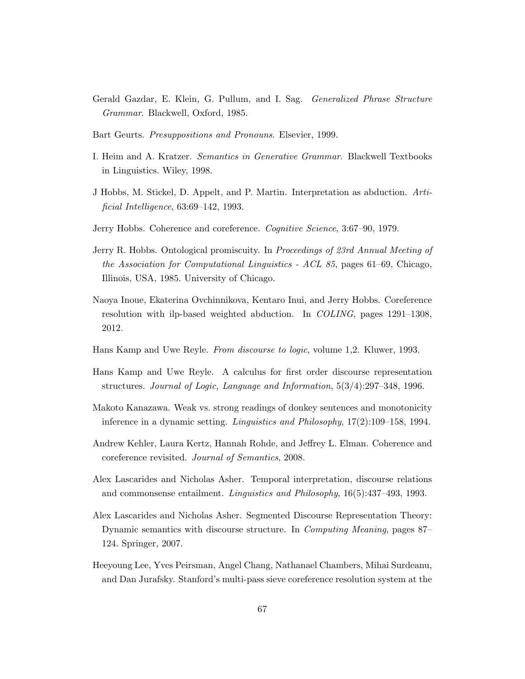- <span id="page-68-10"></span>Gerald Gazdar, E. Klein, G. Pullum, and I. Sag. Generalized Phrase Structure Grammar. Blackwell, Oxford, 1985.
- <span id="page-68-13"></span>Bart Geurts. Presuppositions and Pronouns. Elsevier, 1999.
- <span id="page-68-11"></span>I. Heim and A. Kratzer. Semantics in Generative Grammar. Blackwell Textbooks in Linguistics. Wiley, 1998.
- <span id="page-68-2"></span>J Hobbs, M. Stickel, D. Appelt, and P. Martin. Interpretation as abduction. Artificial Intelligence, 63:69–142, 1993.
- <span id="page-68-1"></span>Jerry Hobbs. Coherence and coreference. Cognitive Science, 3:67–90, 1979.
- <span id="page-68-12"></span>Jerry R. Hobbs. Ontological promiscuity. In Proceedings of 23rd Annual Meeting of the Association for Computational Linguistics - ACL 85, pages 61–69, Chicago, Illinois, USA, 1985. University of Chicago.
- <span id="page-68-5"></span>Naoya Inoue, Ekaterina Ovchinnikova, Kentaro Inui, and Jerry Hobbs. Coreference resolution with ilp-based weighted abduction. In COLING, pages 1291–1308, 2012.
- <span id="page-68-7"></span>Hans Kamp and Uwe Reyle. From discourse to logic, volume 1,2. Kluwer, 1993.
- <span id="page-68-9"></span>Hans Kamp and Uwe Reyle. A calculus for first order discourse representation structures. Journal of Logic, Language and Information, 5(3/4):297–348, 1996.
- <span id="page-68-8"></span>Makoto Kanazawa. Weak vs. strong readings of donkey sentences and monotonicity inference in a dynamic setting. Linguistics and Philosophy, 17(2):109–158, 1994.
- <span id="page-68-4"></span>Andrew Kehler, Laura Kertz, Hannah Rohde, and Jeffrey L. Elman. Coherence and coreference revisited. Journal of Semantics, 2008.
- <span id="page-68-3"></span>Alex Lascarides and Nicholas Asher. Temporal interpretation, discourse relations and commonsense entailment. Linguistics and Philosophy, 16(5):437–493, 1993.
- <span id="page-68-6"></span>Alex Lascarides and Nicholas Asher. Segmented Discourse Representation Theory: Dynamic semantics with discourse structure. In Computing Meaning, pages 87– 124. Springer, 2007.
- <span id="page-68-0"></span>Heeyoung Lee, Yves Peirsman, Angel Chang, Nathanael Chambers, Mihai Surdeanu, and Dan Jurafsky. Stanford's multi-pass sieve coreference resolution system at the